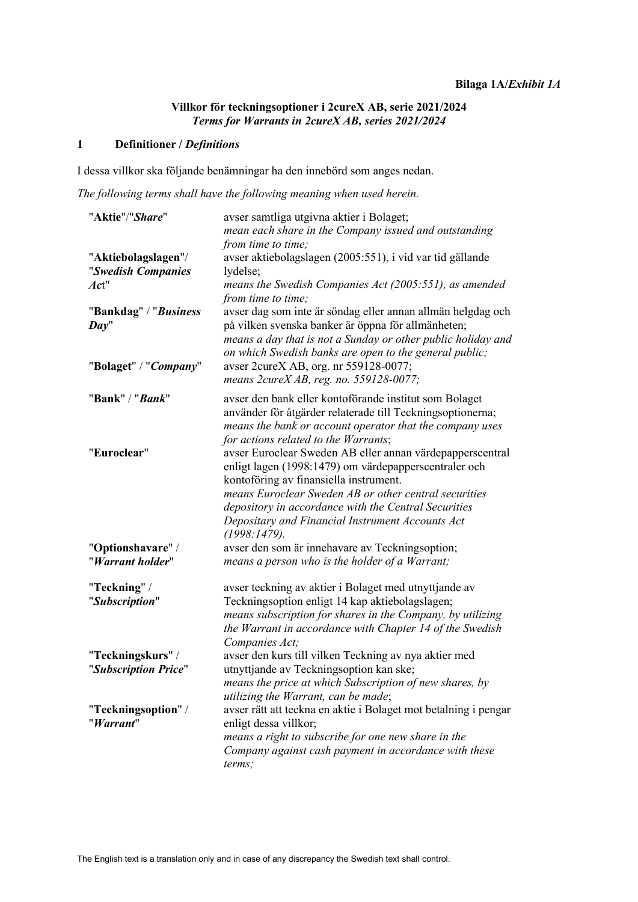# **Villkor för teckningsoptioner i 2cureX AB, serie 2021/2024** *Terms for Warrants in 2cureX AB, series 2021/2024*

# **1 Definitioner /** *Definitions*

I dessa villkor ska följande benämningar ha den innebörd som anges nedan.

*The following terms shall have the following meaning when used herein.*

| "Aktie"/"Share"                                        | avser samtliga utgivna aktier i Bolaget;                                                                                                                                                                                                                                                                                                          |
|--------------------------------------------------------|---------------------------------------------------------------------------------------------------------------------------------------------------------------------------------------------------------------------------------------------------------------------------------------------------------------------------------------------------|
|                                                        | mean each share in the Company issued and outstanding                                                                                                                                                                                                                                                                                             |
|                                                        | from time to time;                                                                                                                                                                                                                                                                                                                                |
| "Aktiebolagslagen"/                                    | avser aktiebolagslagen (2005:551), i vid var tid gällande                                                                                                                                                                                                                                                                                         |
| "Swedish Companies                                     | lydelse;                                                                                                                                                                                                                                                                                                                                          |
| Act"                                                   | means the Swedish Companies Act (2005:551), as amended<br>from time to time;                                                                                                                                                                                                                                                                      |
| "Bankdag" / "Business<br>Day"<br>"Bolaget" / "Company" | avser dag som inte är söndag eller annan allmän helgdag och<br>på vilken svenska banker är öppna för allmänheten;<br>means a day that is not a Sunday or other public holiday and<br>on which Swedish banks are open to the general public;<br>avser 2cureX AB, org. nr 559128-0077;<br>means 2cureX AB, reg. no. 559128-0077;                    |
| "Bank" / "Bank"                                        | avser den bank eller kontoförande institut som Bolaget<br>använder för åtgärder relaterade till Teckningsoptionerna;<br>means the bank or account operator that the company uses<br>for actions related to the Warrants;                                                                                                                          |
| "Euroclear"                                            | avser Euroclear Sweden AB eller annan värdepapperscentral<br>enligt lagen (1998:1479) om värdepapperscentraler och<br>kontoföring av finansiella instrument.<br>means Euroclear Sweden AB or other central securities<br>depository in accordance with the Central Securities<br>Depositary and Financial Instrument Accounts Act<br>(1998:1479). |
| "Optionshavare" /                                      | avser den som är innehavare av Teckningsoption;                                                                                                                                                                                                                                                                                                   |
| "Warrant holder"                                       | means a person who is the holder of a Warrant;                                                                                                                                                                                                                                                                                                    |
| "Teckning" /<br>"Subscription"                         | avser teckning av aktier i Bolaget med utnyttjande av<br>Teckningsoption enligt 14 kap aktiebolagslagen;<br>means subscription for shares in the Company, by utilizing<br>the Warrant in accordance with Chapter 14 of the Swedish<br>Companies Act;                                                                                              |
| "Teckningskurs" /                                      | avser den kurs till vilken Teckning av nya aktier med                                                                                                                                                                                                                                                                                             |
| "Subscription Price"                                   | utnyttjande av Teckningsoption kan ske;                                                                                                                                                                                                                                                                                                           |
|                                                        | means the price at which Subscription of new shares, by<br>utilizing the Warrant, can be made;                                                                                                                                                                                                                                                    |
| "Teckningsoption" /                                    | avser rätt att teckna en aktie i Bolaget mot betalning i pengar                                                                                                                                                                                                                                                                                   |
| "Warrant"                                              | enligt dessa villkor;                                                                                                                                                                                                                                                                                                                             |
|                                                        | means a right to subscribe for one new share in the                                                                                                                                                                                                                                                                                               |
|                                                        | Company against cash payment in accordance with these                                                                                                                                                                                                                                                                                             |
|                                                        | terms;                                                                                                                                                                                                                                                                                                                                            |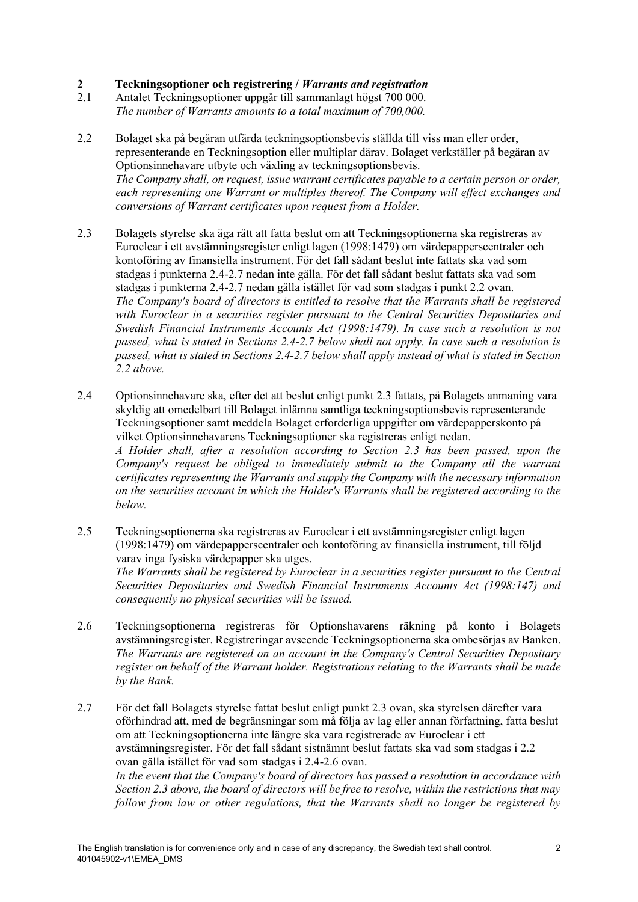# **2 Teckningsoptioner och registrering /** *Warrants and registration*

- 2.1 Antalet Teckningsoptioner uppgår till sammanlagt högst 700 000. *The number of Warrants amounts to a total maximum of 700,000.*
- <span id="page-1-2"></span>2.2 Bolaget ska på begäran utfärda teckningsoptionsbevis ställda till viss man eller order, representerande en Teckningsoption eller multiplar därav. Bolaget verkställer på begäran av Optionsinnehavare utbyte och växling av teckningsoptionsbevis. *The Company shall, on request, issue warrant certificates payable to a certain person or order, each representing one Warrant or multiples thereof. The Company will effect exchanges and conversions of Warrant certificates upon request from a Holder.*
- <span id="page-1-3"></span>2.3 Bolagets styrelse ska äga rätt att fatta beslut om att Teckningsoptionerna ska registreras av Euroclear i ett avstämningsregister enligt lagen (1998:1479) om värdepapperscentraler och kontoföring av finansiella instrument. För det fall sådant beslut inte fattats ska vad som stadgas i punktern[a 2.4-](#page-1-0)[2.7](#page-1-1) nedan inte gälla. För det fall sådant beslut fattats ska vad som stadgas i punktern[a 2.4-](#page-1-0)[2.7](#page-1-1) nedan gälla istället för vad som stadgas i punkt [2.2](#page-1-2) ovan. *The Company's board of directors is entitled to resolve that the Warrants shall be registered with Euroclear in a securities register pursuant to the Central Securities Depositaries and Swedish Financial Instruments Accounts Act (1998:1479). In case such a resolution is not passed, what is stated in Sections [2.4](#page-1-0)[-2.7](#page-1-1) below shall not apply. In case such a resolution is passed, what is stated in Sections [2.4](#page-1-0)[-2.7](#page-1-1) below shall apply instead of what is stated in Section [2.2](#page-1-2) above.*
- <span id="page-1-0"></span>2.4 Optionsinnehavare ska, efter det att beslut enligt punkt [2.3](#page-1-3) fattats, på Bolagets anmaning vara skyldig att omedelbart till Bolaget inlämna samtliga teckningsoptionsbevis representerande Teckningsoptioner samt meddela Bolaget erforderliga uppgifter om värdepapperskonto på vilket Optionsinnehavarens Teckningsoptioner ska registreras enligt nedan. *A Holder shall, after a resolution according to Section [2.3](#page-1-3) has been passed, upon the Company's request be obliged to immediately submit to the Company all the warrant certificates representing the Warrants and supply the Company with the necessary information on the securities account in which the Holder's Warrants shall be registered according to the below.*
- 2.5 Teckningsoptionerna ska registreras av Euroclear i ett avstämningsregister enligt lagen (1998:1479) om värdepapperscentraler och kontoföring av finansiella instrument, till följd varav inga fysiska värdepapper ska utges. *The Warrants shall be registered by Euroclear in a securities register pursuant to the Central Securities Depositaries and Swedish Financial Instruments Accounts Act (1998:147) and consequently no physical securities will be issued.*
- <span id="page-1-4"></span>2.6 Teckningsoptionerna registreras för Optionshavarens räkning på konto i Bolagets avstämningsregister. Registreringar avseende Teckningsoptionerna ska ombesörjas av Banken. *The Warrants are registered on an account in the Company's Central Securities Depositary register on behalf of the Warrant holder. Registrations relating to the Warrants shall be made by the Bank.*
- <span id="page-1-1"></span>2.7 För det fall Bolagets styrelse fattat beslut enligt punkt [2.3](#page-1-3) ovan, ska styrelsen därefter vara oförhindrad att, med de begränsningar som må följa av lag eller annan författning, fatta beslut om att Teckningsoptionerna inte längre ska vara registrerade av Euroclear i ett avstämningsregister. För det fall sådant sistnämnt beslut fattats ska vad som stadgas i [2.2](#page-1-2) ovan gälla istället för vad som stadgas i [2.4-](#page-1-0)[2.6](#page-1-4) ovan. In the event that the Company's board of directors has passed a resolution in accordance with *Section [2.3](#page-1-3) above, the board of directors will be free to resolve, within the restrictions that may follow from law or other regulations, that the Warrants shall no longer be registered by*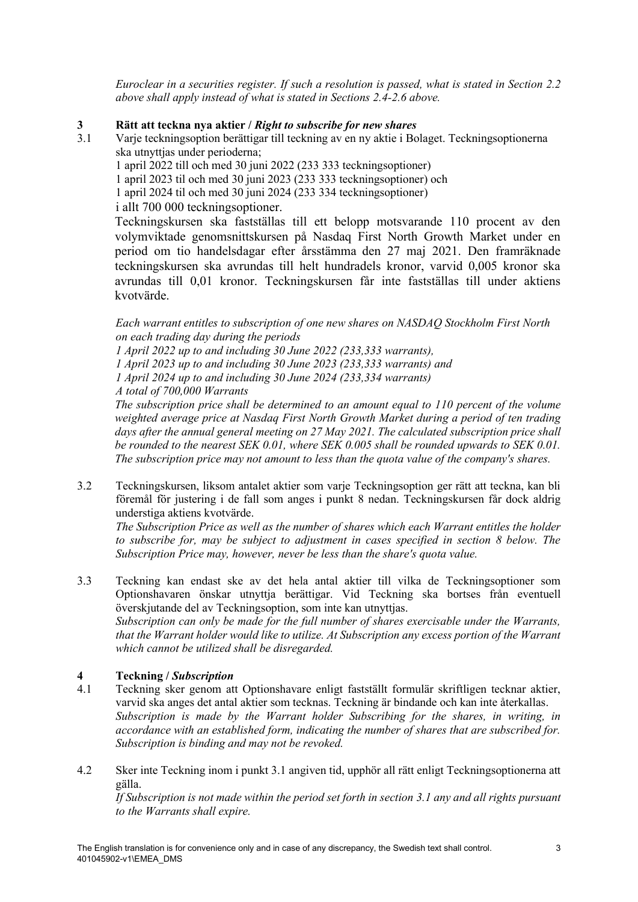*Euroclear in a securities register. If such a resolution is passed, what is stated in Section [2.2](#page-1-2) above shall apply instead of what is stated in Sections [2.4](#page-1-0)[-2.6](#page-1-4) above.*

# **3 Rätt att teckna nya aktier** / *Right to subscribe for new shares*<br>3.1 Varie teckningsontion berättigar till teckning av en ny aktie i Bo

<span id="page-2-0"></span>3.1 Varje teckningsoption berättigar till teckning av en ny aktie i Bolaget. Teckningsoptionerna ska utnyttjas under perioderna;

1 april 2022 till och med 30 juni 2022 (233 333 teckningsoptioner)

1 april 2023 til och med 30 juni 2023 (233 333 teckningsoptioner) och

1 april 2024 til och med 30 juni 2024 (233 334 teckningsoptioner)

i allt 700 000 teckningsoptioner.

Teckningskursen ska fastställas till ett belopp motsvarande 110 procent av den volymviktade genomsnittskursen på Nasdaq First North Growth Market under en period om tio handelsdagar efter årsstämma den 27 maj 2021. Den framräknade teckningskursen ska avrundas till helt hundradels kronor, varvid 0,005 kronor ska avrundas till 0,01 kronor. Teckningskursen får inte fastställas till under aktiens kvotvärde.

*Each warrant entitles to subscription of one new shares on NASDAQ Stockholm First North on each trading day during the periods* 

*1 April 2022 up to and including 30 June 2022 (233,333 warrants),* 

*1 April 2023 up to and including 30 June 2023 (233,333 warrants) and* 

*1 April 2024 up to and including 30 June 2024 (233,334 warrants)* 

*A total of 700,000 Warrants*

*The subscription price shall be determined to an amount equal to 110 percent of the volume weighted average price at Nasdaq First North Growth Market during a period of ten trading days after the annual general meeting on 27 May 2021. The calculated subscription price shall be rounded to the nearest SEK 0.01, where SEK 0.005 shall be rounded upwards to SEK 0.01. The subscription price may not amount to less than the quota value of the company's shares.*

3.2 Teckningskursen, liksom antalet aktier som varje Teckningsoption ger rätt att teckna, kan bli föremål för justering i de fall som anges i punkt [8](#page-3-0) nedan. Teckningskursen får dock aldrig understiga aktiens kvotvärde.

*The Subscription Price as well as the number of shares which each Warrant entitles the holder to subscribe for, may be subject to adjustment in cases specified in section 8 below. The Subscription Price may, however, never be less than the share's quota value.*

3.3 Teckning kan endast ske av det hela antal aktier till vilka de Teckningsoptioner som Optionshavaren önskar utnyttja berättigar. Vid Teckning ska bortses från eventuell överskjutande del av Teckningsoption, som inte kan utnyttjas. *Subscription can only be made for the full number of shares exercisable under the Warrants,* 

*that the Warrant holder would like to utilize. At Subscription any excess portion of the Warrant which cannot be utilized shall be disregarded.*

# **4 Teckning /** *Subscription*

- 4.1 Teckning sker genom att Optionshavare enligt fastställt formulär skriftligen tecknar aktier, varvid ska anges det antal aktier som tecknas. Teckning är bindande och kan inte återkallas. *Subscription is made by the Warrant holder Subscribing for the shares, in writing, in accordance with an established form, indicating the number of shares that are subscribed for. Subscription is binding and may not be revoked.*
- 4.2 Sker inte Teckning inom i punkt [3.1](#page-2-0) angiven tid, upphör all rätt enligt Teckningsoptionerna att gälla.

*If Subscription is not made within the period set forth in section [3.1](#page-2-0) any and all rights pursuant to the Warrants shall expire.*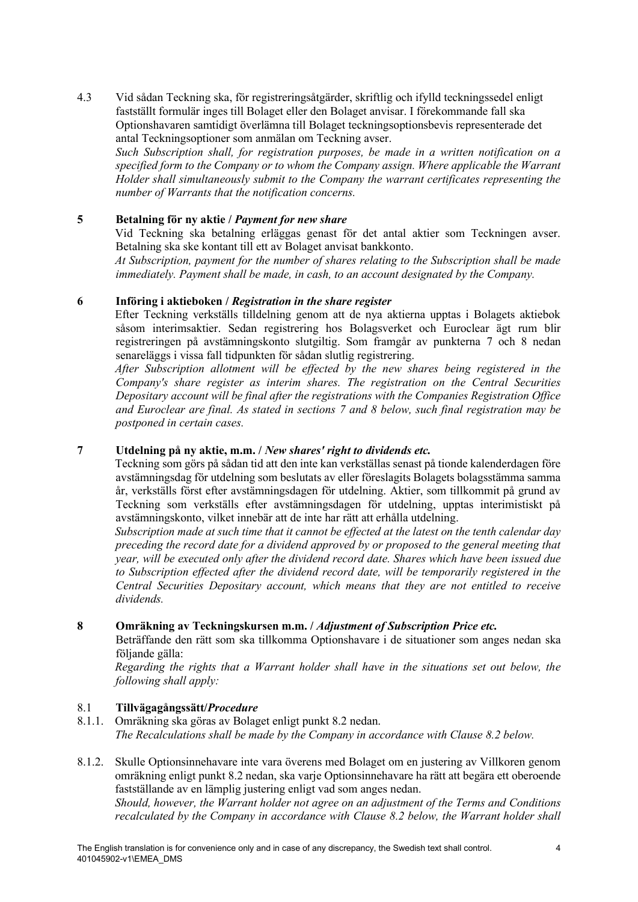4.3 Vid sådan Teckning ska, för registreringsåtgärder, skriftlig och ifylld teckningssedel enligt fastställt formulär inges till Bolaget eller den Bolaget anvisar. I förekommande fall ska Optionshavaren samtidigt överlämna till Bolaget teckningsoptionsbevis representerade det antal Teckningsoptioner som anmälan om Teckning avser.

*Such Subscription shall, for registration purposes, be made in a written notification on a specified form to the Company or to whom the Company assign. Where applicable the Warrant Holder shall simultaneously submit to the Company the warrant certificates representing the number of Warrants that the notification concerns.*

# **5 Betalning för ny aktie /** *Payment for new share*

Vid Teckning ska betalning erläggas genast för det antal aktier som Teckningen avser. Betalning ska ske kontant till ett av Bolaget anvisat bankkonto.

*At Subscription, payment for the number of shares relating to the Subscription shall be made immediately. Payment shall be made, in cash, to an account designated by the Company.*

## **6 Införing i aktieboken /** *Registration in the share register*

Efter Teckning verkställs tilldelning genom att de nya aktierna upptas i Bolagets aktiebok såsom interimsaktier. Sedan registrering hos Bolagsverket och Euroclear ägt rum blir registreringen på avstämningskonto slutgiltig. Som framgår av punkterna [7](#page-3-1) och [8](#page-3-0) nedan senareläggs i vissa fall tidpunkten för sådan slutlig registrering.

*After Subscription allotment will be effected by the new shares being registered in the Company's share register as interim shares. The registration on the Central Securities Depositary account will be final after the registrations with the Companies Registration Office and Euroclear are final. As stated in sections [7](#page-3-1) and [8](#page-3-0) below, such final registration may be postponed in certain cases.*

## <span id="page-3-1"></span>**7 Utdelning på ny aktie, m.m. /** *New shares' right to dividends etc.*

Teckning som görs på sådan tid att den inte kan verkställas senast på tionde kalenderdagen före avstämningsdag för utdelning som beslutats av eller föreslagits Bolagets bolagsstämma samma år, verkställs först efter avstämningsdagen för utdelning. Aktier, som tillkommit på grund av Teckning som verkställs efter avstämningsdagen för utdelning, upptas interimistiskt på avstämningskonto, vilket innebär att de inte har rätt att erhålla utdelning.

*Subscription made at such time that it cannot be effected at the latest on the tenth calendar day preceding the record date for a dividend approved by or proposed to the general meeting that year, will be executed only after the dividend record date. Shares which have been issued due to Subscription effected after the dividend record date, will be temporarily registered in the Central Securities Depositary account, which means that they are not entitled to receive dividends.*

# <span id="page-3-0"></span>**8 Omräkning av Teckningskursen m.m. /** *Adjustment of Subscription Price etc.*

Beträffande den rätt som ska tillkomma Optionshavare i de situationer som anges nedan ska följande gälla:

*Regarding the rights that a Warrant holder shall have in the situations set out below, the following shall apply:*

## 8.1 **Tillvägagångssätt/***Procedure*

- 8.1.1. Omräkning ska göras av Bolaget enligt punkt [8.2](#page-5-0) nedan. *The Recalculations shall be made by the Company in accordance with Clause [8.2](#page-5-0) below.*
- 8.1.2. Skulle Optionsinnehavare inte vara överens med Bolaget om en justering av Villkoren genom omräkning enligt punkt [8.2](#page-5-0) nedan, ska varje Optionsinnehavare ha rätt att begära ett oberoende fastställande av en lämplig justering enligt vad som anges nedan.

*Should, however, the Warrant holder not agree on an adjustment of the Terms and Conditions recalculated by the Company in accordance with Clause [8.2](#page-5-0) below, the Warrant holder shall*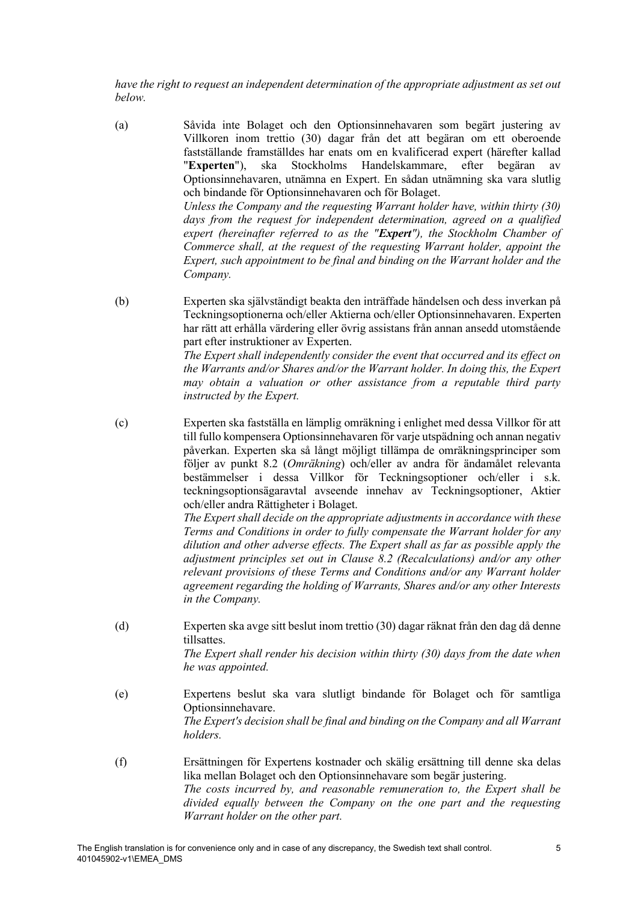*have the right to request an independent determination of the appropriate adjustment as set out below.*

(a) Såvida inte Bolaget och den Optionsinnehavaren som begärt justering av Villkoren inom trettio (30) dagar från det att begäran om ett oberoende fastställande framställdes har enats om en kvalificerad expert (härefter kallad "**Experten**"), ska Stockholms Handelskammare, efter begäran av Optionsinnehavaren, utnämna en Expert. En sådan utnämning ska vara slutlig och bindande för Optionsinnehavaren och för Bolaget. *Unless the Company and the requesting Warrant holder have, within thirty (30) days from the request for independent determination, agreed on a qualified expert (hereinafter referred to as the "Expert"), the Stockholm Chamber of* 

*Commerce shall, at the request of the requesting Warrant holder, appoint the Expert, such appointment to be final and binding on the Warrant holder and the Company.*

(b) Experten ska självständigt beakta den inträffade händelsen och dess inverkan på Teckningsoptionerna och/eller Aktierna och/eller Optionsinnehavaren. Experten har rätt att erhålla värdering eller övrig assistans från annan ansedd utomstående part efter instruktioner av Experten.

> *The Expert shall independently consider the event that occurred and its effect on the Warrants and/or Shares and/or the Warrant holder. In doing this, the Expert may obtain a valuation or other assistance from a reputable third party instructed by the Expert.*

(c) Experten ska fastställa en lämplig omräkning i enlighet med dessa Villkor för att till fullo kompensera Optionsinnehavaren för varje utspädning och annan negativ påverkan. Experten ska så långt möjligt tillämpa de omräkningsprinciper som följer av punkt [8.2](#page-5-0) (*Omräkning*) och/eller av andra för ändamålet relevanta bestämmelser i dessa Villkor för Teckningsoptioner och/eller i s.k. teckningsoptionsägaravtal avseende innehav av Teckningsoptioner, Aktier och/eller andra Rättigheter i Bolaget.

> *The Expert shall decide on the appropriate adjustments in accordance with these Terms and Conditions in order to fully compensate the Warrant holder for any dilution and other adverse effects. The Expert shall as far as possible apply the adjustment principles set out in Clause [8.2](#page-5-0) (Recalculations) and/or any other relevant provisions of these Terms and Conditions and/or any Warrant holder agreement regarding the holding of Warrants, Shares and/or any other Interests in the Company.*

- (d) Experten ska avge sitt beslut inom trettio (30) dagar räknat från den dag då denne tillsattes. *The Expert shall render his decision within thirty (30) days from the date when he was appointed.*
- (e) Expertens beslut ska vara slutligt bindande för Bolaget och för samtliga Optionsinnehavare. *The Expert's decision shall be final and binding on the Company and all Warrant holders.*
- (f) Ersättningen för Expertens kostnader och skälig ersättning till denne ska delas lika mellan Bolaget och den Optionsinnehavare som begär justering. *The costs incurred by, and reasonable remuneration to, the Expert shall be divided equally between the Company on the one part and the requesting Warrant holder on the other part.*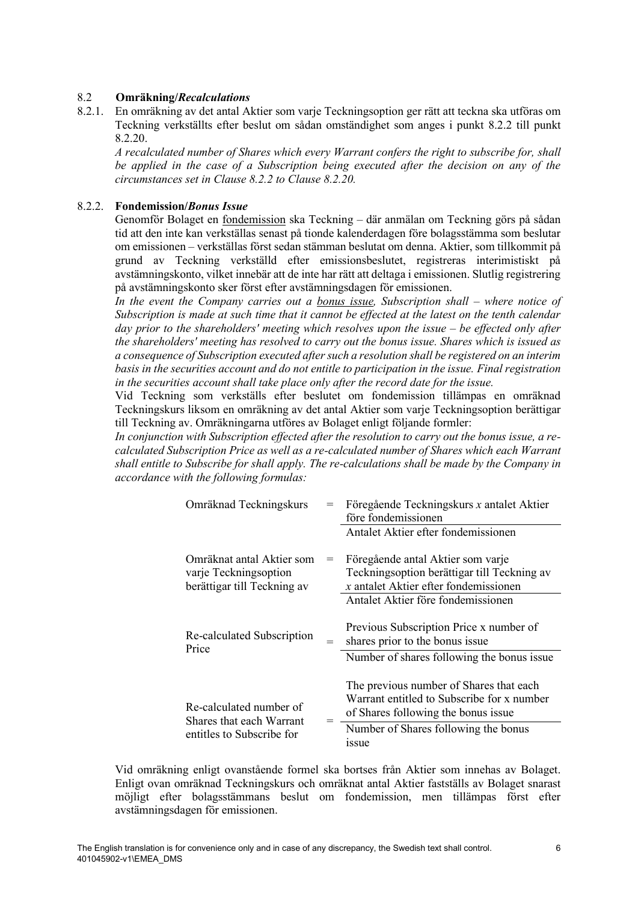## <span id="page-5-0"></span>8.2 **Omräkning/***Recalculations*

8.2.1. En omräkning av det antal Aktier som varje Teckningsoption ger rätt att teckna ska utföras om Teckning verkställts efter beslut om sådan omständighet som anges i punkt [8.2.2](#page-5-1) till punkt [8.2.20.](#page-19-0)

*A recalculated number of Shares which every Warrant confers the right to subscribe for, shall be applied in the case of a Subscription being executed after the decision on any of the circumstances set in Clause [8.2.2](#page-5-1) to Clause [8.2.20.](#page-19-0)* 

# <span id="page-5-1"></span>8.2.2. **Fondemission/***Bonus Issue*

Genomför Bolaget en fondemission ska Teckning – där anmälan om Teckning görs på sådan tid att den inte kan verkställas senast på tionde kalenderdagen före bolagsstämma som beslutar om emissionen – verkställas först sedan stämman beslutat om denna. Aktier, som tillkommit på grund av Teckning verkställd efter emissionsbeslutet, registreras interimistiskt på avstämningskonto, vilket innebär att de inte har rätt att deltaga i emissionen. Slutlig registrering på avstämningskonto sker först efter avstämningsdagen för emissionen.

In the event the Company carries out a bonus issue, Subscription shall – where notice of *Subscription is made at such time that it cannot be effected at the latest on the tenth calendar day prior to the shareholders' meeting which resolves upon the issue – be effected only after the shareholders' meeting has resolved to carry out the bonus issue. Shares which is issued as a consequence of Subscription executed after such a resolution shall be registered on an interim basis in the securities account and do not entitle to participation in the issue. Final registration in the securities account shall take place only after the record date for the issue.*

Vid Teckning som verkställs efter beslutet om fondemission tillämpas en omräknad Teckningskurs liksom en omräkning av det antal Aktier som varje Teckningsoption berättigar till Teckning av. Omräkningarna utföres av Bolaget enligt följande formler:

*In conjunction with Subscription effected after the resolution to carry out the bonus issue, a recalculated Subscription Price as well as a re-calculated number of Shares which each Warrant shall entitle to Subscribe for shall apply. The re-calculations shall be made by the Company in accordance with the following formulas:*

| Omräknad Teckningskurs                                                            | $=$ | Föregående Teckningskurs x antalet Aktier<br>före fondemissionen                                                                    |
|-----------------------------------------------------------------------------------|-----|-------------------------------------------------------------------------------------------------------------------------------------|
|                                                                                   |     | Antalet Aktier efter fondemissionen                                                                                                 |
| Omräknat antal Aktier som<br>varje Teckningsoption<br>berättigar till Teckning av | $=$ | Föregående antal Aktier som varje<br>Teckningsoption berättigar till Teckning av<br>$x$ antalet Aktier efter fondemissionen         |
| Re-calculated Subscription<br>Price                                               | $=$ | Antalet Aktier före fondemissionen<br>Previous Subscription Price x number of<br>shares prior to the bonus issue                    |
|                                                                                   |     | Number of shares following the bonus issue<br>The previous number of Shares that each<br>Warrant entitled to Subscribe for x number |
| Re-calculated number of<br>Shares that each Warrant<br>entitles to Subscribe for  |     | of Shares following the bonus issue<br>Number of Shares following the bonus<br>1SSUe                                                |

Vid omräkning enligt ovanstående formel ska bortses från Aktier som innehas av Bolaget. Enligt ovan omräknad Teckningskurs och omräknat antal Aktier fastställs av Bolaget snarast möjligt efter bolagsstämmans beslut om fondemission, men tillämpas först efter avstämningsdagen för emissionen.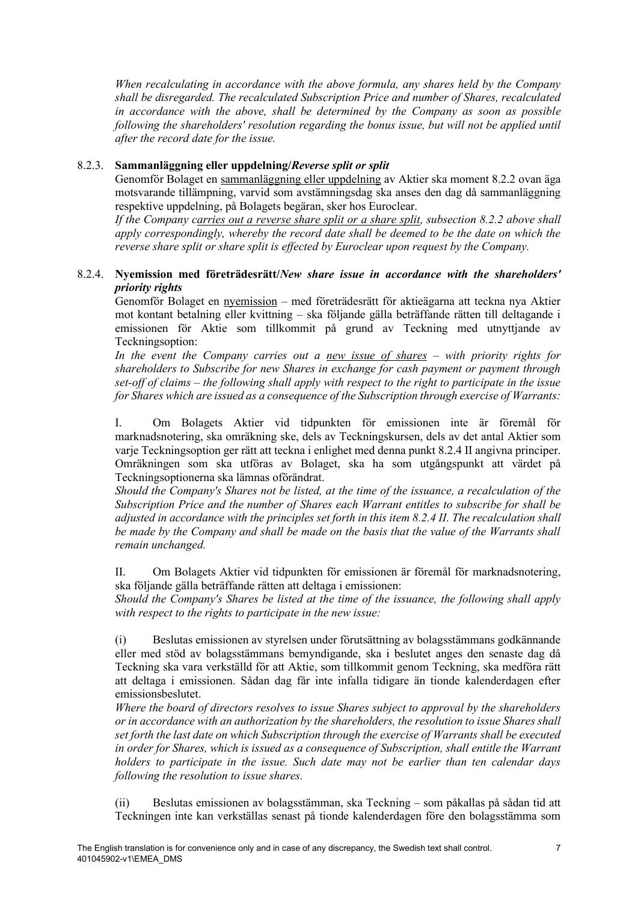*When recalculating in accordance with the above formula, any shares held by the Company shall be disregarded. The recalculated Subscription Price and number of Shares, recalculated in accordance with the above, shall be determined by the Company as soon as possible following the shareholders' resolution regarding the bonus issue, but will not be applied until after the record date for the issue.*

# 8.2.3. **Sammanläggning eller uppdelning/***Reverse split or split*

Genomför Bolaget en sammanläggning eller uppdelning av Aktier ska moment [8.2.2](#page-5-1) ovan äga motsvarande tillämpning, varvid som avstämningsdag ska anses den dag då sammanläggning respektive uppdelning, på Bolagets begäran, sker hos Euroclear.

*If the Company carries out a reverse share split or a share split, subsection [8.2.2](#page-5-1) above shall apply correspondingly, whereby the record date shall be deemed to be the date on which the reverse share split or share split is effected by Euroclear upon request by the Company.*

# <span id="page-6-0"></span>8.2.4. **Nyemission med företrädesrätt/***New share issue in accordance with the shareholders' priority rights*

Genomför Bolaget en nyemission – med företrädesrätt för aktieägarna att teckna nya Aktier mot kontant betalning eller kvittning – ska följande gälla beträffande rätten till deltagande i emissionen för Aktie som tillkommit på grund av Teckning med utnyttjande av Teckningsoption:

*In the event the Company carries out a new issue of shares – with priority rights for shareholders to Subscribe for new Shares in exchange for cash payment or payment through set-off of claims – the following shall apply with respect to the right to participate in the issue for Shares which are issued as a consequence of the Subscription through exercise of Warrants:*

I. Om Bolagets Aktier vid tidpunkten för emissionen inte är föremål för marknadsnotering, ska omräkning ske, dels av Teckningskursen, dels av det antal Aktier som varje Teckningsoption ger rätt att teckna i enlighet med denna punkt [8.2.4](#page-6-0) II angivna principer. Omräkningen som ska utföras av Bolaget, ska ha som utgångspunkt att värdet på Teckningsoptionerna ska lämnas oförändrat.

*Should the Company's Shares not be listed, at the time of the issuance, a recalculation of the Subscription Price and the number of Shares each Warrant entitles to subscribe for shall be adjusted in accordance with the principles set forth in this item [8.2.4](#page-6-0) II. The recalculation shall be made by the Company and shall be made on the basis that the value of the Warrants shall remain unchanged.*

II. Om Bolagets Aktier vid tidpunkten för emissionen är föremål för marknadsnotering, ska följande gälla beträffande rätten att deltaga i emissionen:

*Should the Company's Shares be listed at the time of the issuance, the following shall apply with respect to the rights to participate in the new issue:*

(i) Beslutas emissionen av styrelsen under förutsättning av bolagsstämmans godkännande eller med stöd av bolagsstämmans bemyndigande, ska i beslutet anges den senaste dag då Teckning ska vara verkställd för att Aktie, som tillkommit genom Teckning, ska medföra rätt att deltaga i emissionen. Sådan dag får inte infalla tidigare än tionde kalenderdagen efter emissionsbeslutet.

*Where the board of directors resolves to issue Shares subject to approval by the shareholders or in accordance with an authorization by the shareholders, the resolution to issue Shares shall set forth the last date on which Subscription through the exercise of Warrants shall be executed in order for Shares, which is issued as a consequence of Subscription, shall entitle the Warrant holders to participate in the issue. Such date may not be earlier than ten calendar days following the resolution to issue shares.*

(ii) Beslutas emissionen av bolagsstämman, ska Teckning – som påkallas på sådan tid att Teckningen inte kan verkställas senast på tionde kalenderdagen före den bolagsstämma som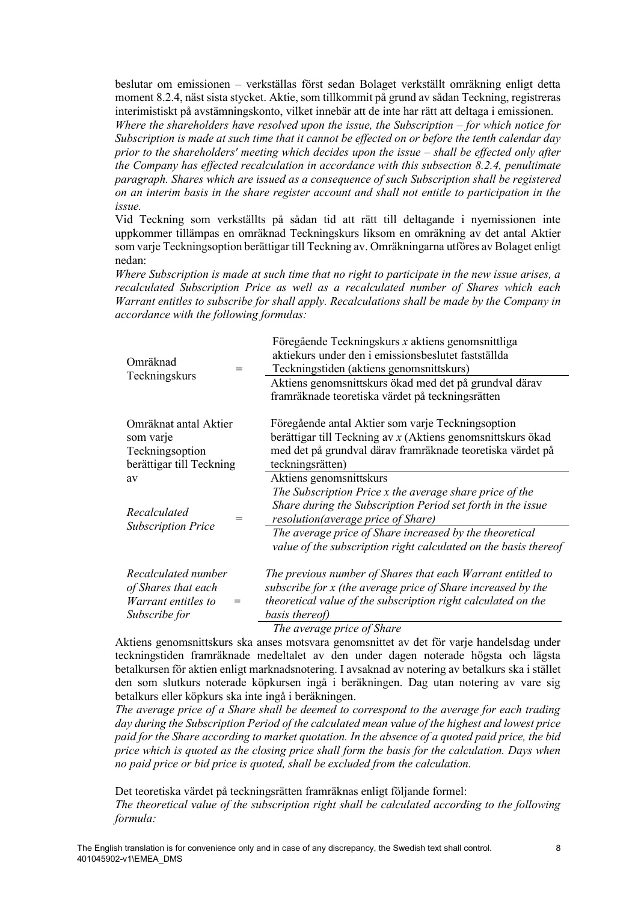beslutar om emissionen – verkställas först sedan Bolaget verkställt omräkning enligt detta moment [8.2.4,](#page-6-0) näst sista stycket. Aktie, som tillkommit på grund av sådan Teckning, registreras interimistiskt på avstämningskonto, vilket innebär att de inte har rätt att deltaga i emissionen. *Where the shareholders have resolved upon the issue, the Subscription – for which notice for* 

*Subscription is made at such time that it cannot be effected on or before the tenth calendar day prior to the shareholders' meeting which decides upon the issue – shall be effected only after the Company has effected recalculation in accordance with this subsection [8.2.4,](#page-6-0) penultimate paragraph. Shares which are issued as a consequence of such Subscription shall be registered on an interim basis in the share register account and shall not entitle to participation in the issue.*

Vid Teckning som verkställts på sådan tid att rätt till deltagande i nyemissionen inte uppkommer tillämpas en omräknad Teckningskurs liksom en omräkning av det antal Aktier som varje Teckningsoption berättigar till Teckning av. Omräkningarna utföres av Bolaget enligt nedan:

*Where Subscription is made at such time that no right to participate in the new issue arises, a recalculated Subscription Price as well as a recalculated number of Shares which each Warrant entitles to subscribe for shall apply. Recalculations shall be made by the Company in accordance with the following formulas:*

| Omräknad<br>$=$<br>Teckningskurs                 | Föregående Teckningskurs x aktiens genomsnittliga<br>aktiekurs under den i emissionsbeslutet fastställda<br>Teckningstiden (aktiens genomsnittskurs) |  |  |  |
|--------------------------------------------------|------------------------------------------------------------------------------------------------------------------------------------------------------|--|--|--|
|                                                  | Aktiens genomsnittskurs ökad med det på grundval därav                                                                                               |  |  |  |
|                                                  | framräknade teoretiska värdet på teckningsrätten                                                                                                     |  |  |  |
| Omräknat antal Aktier                            | Föregående antal Aktier som varje Teckningsoption                                                                                                    |  |  |  |
| som varje                                        | berättigar till Teckning av $x$ (Aktiens genomsnittskurs ökad                                                                                        |  |  |  |
| Teckningsoption                                  | med det på grundval därav framräknade teoretiska värdet på                                                                                           |  |  |  |
| berättigar till Teckning                         | teckningsrätten)                                                                                                                                     |  |  |  |
| av                                               | Aktiens genomsnittskurs                                                                                                                              |  |  |  |
|                                                  | The Subscription Price x the average share price of the                                                                                              |  |  |  |
| Recalculated<br>$=$<br><b>Subscription Price</b> | Share during the Subscription Period set forth in the issue                                                                                          |  |  |  |
|                                                  | resolution(average price of Share)                                                                                                                   |  |  |  |
|                                                  | The average price of Share increased by the theoretical                                                                                              |  |  |  |
|                                                  | value of the subscription right calculated on the basis thereof                                                                                      |  |  |  |
| Recalculated number                              | The previous number of Shares that each Warrant entitled to                                                                                          |  |  |  |
| of Shares that each                              | subscribe for x (the average price of Share increased by the                                                                                         |  |  |  |
| Warrant entitles to<br>$=$                       | theoretical value of the subscription right calculated on the                                                                                        |  |  |  |
| Subscribe for                                    | basis thereof)                                                                                                                                       |  |  |  |
|                                                  | The average price of Share                                                                                                                           |  |  |  |

Aktiens genomsnittskurs ska anses motsvara genomsnittet av det för varje handelsdag under teckningstiden framräknade medeltalet av den under dagen noterade högsta och lägsta betalkursen för aktien enligt marknadsnotering. I avsaknad av notering av betalkurs ska i stället den som slutkurs noterade köpkursen ingå i beräkningen. Dag utan notering av vare sig betalkurs eller köpkurs ska inte ingå i beräkningen.

*The average price of a Share shall be deemed to correspond to the average for each trading day during the Subscription Period of the calculated mean value of the highest and lowest price paid for the Share according to market quotation. In the absence of a quoted paid price, the bid price which is quoted as the closing price shall form the basis for the calculation. Days when no paid price or bid price is quoted, shall be excluded from the calculation.*

Det teoretiska värdet på teckningsrätten framräknas enligt följande formel: *The theoretical value of the subscription right shall be calculated according to the following formula:*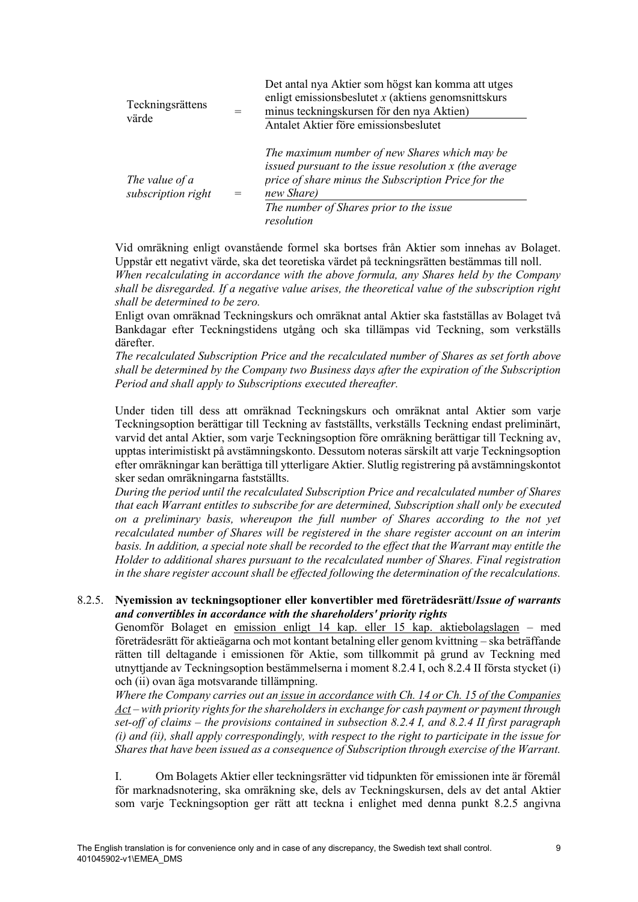| Teckningsrättens<br>värde            | $=$ | Det antal nya Aktier som högst kan komma att utges<br>enligt emissionsbeslutet $x$ (aktiens genominitiskurs<br>minus teckningskursen för den nya Aktien)<br>Antalet Aktier före emissionsbeslutet                                       |
|--------------------------------------|-----|-----------------------------------------------------------------------------------------------------------------------------------------------------------------------------------------------------------------------------------------|
| The value of a<br>subscription right |     | The maximum number of new Shares which may be<br>issued pursuant to the issue resolution $x$ (the average<br>price of share minus the Subscription Price for the<br>new Share)<br>The number of Shares prior to the issue<br>resolution |

Vid omräkning enligt ovanstående formel ska bortses från Aktier som innehas av Bolaget. Uppstår ett negativt värde, ska det teoretiska värdet på teckningsrätten bestämmas till noll. *When recalculating in accordance with the above formula, any Shares held by the Company shall be disregarded. If a negative value arises, the theoretical value of the subscription right shall be determined to be zero.*

Enligt ovan omräknad Teckningskurs och omräknat antal Aktier ska fastställas av Bolaget två Bankdagar efter Teckningstidens utgång och ska tillämpas vid Teckning, som verkställs därefter.

*The recalculated Subscription Price and the recalculated number of Shares as set forth above shall be determined by the Company two Business days after the expiration of the Subscription Period and shall apply to Subscriptions executed thereafter.* 

Under tiden till dess att omräknad Teckningskurs och omräknat antal Aktier som varje Teckningsoption berättigar till Teckning av fastställts, verkställs Teckning endast preliminärt, varvid det antal Aktier, som varje Teckningsoption före omräkning berättigar till Teckning av, upptas interimistiskt på avstämningskonto. Dessutom noteras särskilt att varje Teckningsoption efter omräkningar kan berättiga till ytterligare Aktier. Slutlig registrering på avstämningskontot sker sedan omräkningarna fastställts.

*During the period until the recalculated Subscription Price and recalculated number of Shares that each Warrant entitles to subscribe for are determined, Subscription shall only be executed on a preliminary basis, whereupon the full number of Shares according to the not yet recalculated number of Shares will be registered in the share register account on an interim basis. In addition, a special note shall be recorded to the effect that the Warrant may entitle the Holder to additional shares pursuant to the recalculated number of Shares. Final registration in the share register account shall be effected following the determination of the recalculations.*

## <span id="page-8-0"></span>8.2.5. **Nyemission av teckningsoptioner eller konvertibler med företrädesrätt/***Issue of warrants and convertibles in accordance with the shareholders' priority rights*

Genomför Bolaget en emission enligt 14 kap. eller 15 kap. aktiebolagslagen – med företrädesrätt för aktieägarna och mot kontant betalning eller genom kvittning – ska beträffande rätten till deltagande i emissionen för Aktie, som tillkommit på grund av Teckning med utnyttjande av Teckningsoption bestämmelserna i moment [8.2.4](#page-6-0) I, oc[h 8.2.4](#page-6-0) II första stycket (i) och (ii) ovan äga motsvarande tillämpning.

*Where the Company carries out an issue in accordance with Ch. 14 or Ch. 15 of the Companies Act – with priority rights for the shareholders in exchange for cash payment or payment through set-off of claims – the provisions contained in subsection [8.2.4](#page-6-0) I, and [8.2.4](#page-6-0) II first paragraph (i) and (ii), shall apply correspondingly, with respect to the right to participate in the issue for Shares that have been issued as a consequence of Subscription through exercise of the Warrant.*

I. Om Bolagets Aktier eller teckningsrätter vid tidpunkten för emissionen inte är föremål för marknadsnotering, ska omräkning ske, dels av Teckningskursen, dels av det antal Aktier som varje Teckningsoption ger rätt att teckna i enlighet med denna punkt [8.2.5](#page-8-0) angivna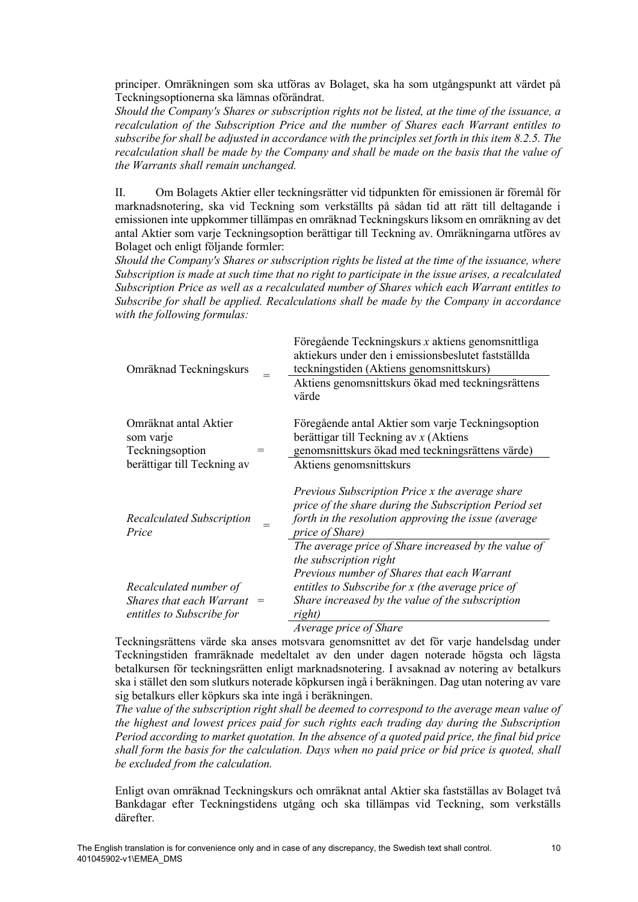principer. Omräkningen som ska utföras av Bolaget, ska ha som utgångspunkt att värdet på Teckningsoptionerna ska lämnas oförändrat.

*Should the Company's Shares or subscription rights not be listed, at the time of the issuance, a recalculation of the Subscription Price and the number of Shares each Warrant entitles to subscribe for shall be adjusted in accordance with the principles set forth in this item [8.2.5.](#page-8-0) The recalculation shall be made by the Company and shall be made on the basis that the value of the Warrants shall remain unchanged.*

II. Om Bolagets Aktier eller teckningsrätter vid tidpunkten för emissionen är föremål för marknadsnotering, ska vid Teckning som verkställts på sådan tid att rätt till deltagande i emissionen inte uppkommer tillämpas en omräknad Teckningskurs liksom en omräkning av det antal Aktier som varje Teckningsoption berättigar till Teckning av. Omräkningarna utföres av Bolaget och enligt följande formler:

*Should the Company's Shares or subscription rights be listed at the time of the issuance, where Subscription is made at such time that no right to participate in the issue arises, a recalculated Subscription Price as well as a recalculated number of Shares which each Warrant entitles to Subscribe for shall be applied. Recalculations shall be made by the Company in accordance with the following formulas:*

| Omräknad Teckningskurs                                                               | Föregående Teckningskurs x aktiens genomsnittliga<br>aktiekurs under den i emissionsbeslutet fastställda<br>teckningstiden (Aktiens genomsnittskurs)<br>Aktiens genomsnittskurs ökad med teckningsrättens<br>värde                                                    |
|--------------------------------------------------------------------------------------|-----------------------------------------------------------------------------------------------------------------------------------------------------------------------------------------------------------------------------------------------------------------------|
| Omräknat antal Aktier<br>som varje<br>Teckningsoption<br>berättigar till Teckning av | Föregående antal Aktier som varje Teckningsoption<br>berättigar till Teckning av $x$ (Aktiens<br>genomsnittskurs ökad med teckningsrättens värde)<br>Aktiens genomsnittskurs                                                                                          |
| <b>Recalculated Subscription</b><br>Price                                            | Previous Subscription Price x the average share<br>price of the share during the Subscription Period set<br>forth in the resolution approving the issue (average<br>price of Share)<br>The average price of Share increased by the value of<br>the subscription right |
| Recalculated number of<br>Shares that each Warrant $=$<br>entitles to Subscribe for  | Previous number of Shares that each Warrant<br>entitles to Subscribe for x (the average price of<br>Share increased by the value of the subscription<br>right)<br>Average price of Share                                                                              |

Teckningsrättens värde ska anses motsvara genomsnittet av det för varje handelsdag under Teckningstiden framräknade medeltalet av den under dagen noterade högsta och lägsta betalkursen för teckningsrätten enligt marknadsnotering. I avsaknad av notering av betalkurs ska i stället den som slutkurs noterade köpkursen ingå i beräkningen. Dag utan notering av vare sig betalkurs eller köpkurs ska inte ingå i beräkningen.

*The value of the subscription right shall be deemed to correspond to the average mean value of the highest and lowest prices paid for such rights each trading day during the Subscription Period according to market quotation. In the absence of a quoted paid price, the final bid price shall form the basis for the calculation. Days when no paid price or bid price is quoted, shall be excluded from the calculation.*

Enligt ovan omräknad Teckningskurs och omräknat antal Aktier ska fastställas av Bolaget två Bankdagar efter Teckningstidens utgång och ska tillämpas vid Teckning, som verkställs därefter.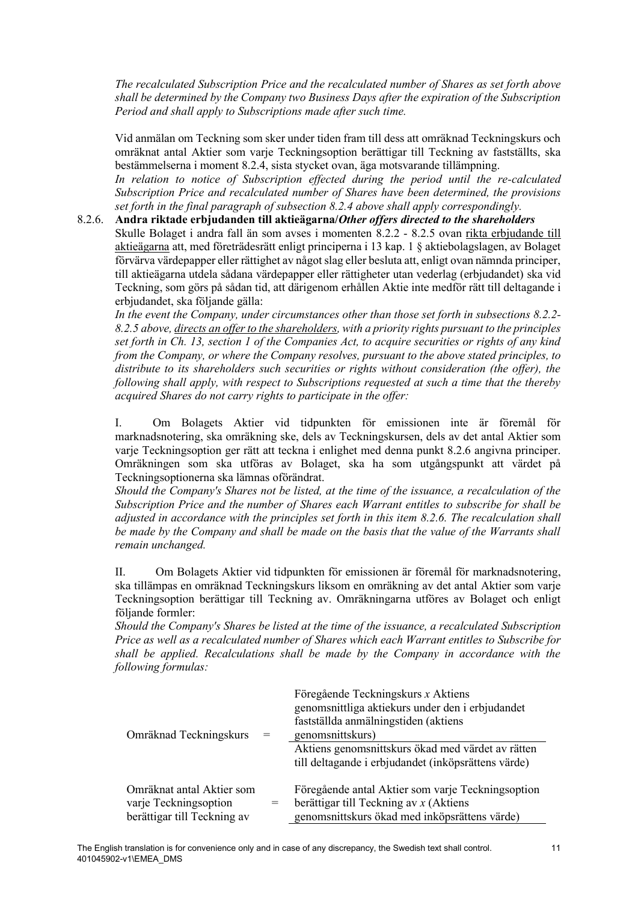*The recalculated Subscription Price and the recalculated number of Shares as set forth above shall be determined by the Company two Business Days after the expiration of the Subscription Period and shall apply to Subscriptions made after such time.*

Vid anmälan om Teckning som sker under tiden fram till dess att omräknad Teckningskurs och omräknat antal Aktier som varje Teckningsoption berättigar till Teckning av fastställts, ska bestämmelserna i moment [8.2.4,](#page-6-0) sista stycket ovan, äga motsvarande tillämpning.

*In relation to notice of Subscription effected during the period until the re-calculated Subscription Price and recalculated number of Shares have been determined, the provisions set forth in the final paragraph of subsection [8.2.4](#page-6-0) above shall apply correspondingly.*

# <span id="page-10-0"></span>8.2.6. **Andra riktade erbjudanden till aktieägarna/***Other offers directed to the shareholders*

Skulle Bolaget i andra fall än som avses i momenten [8.2.2](#page-5-1) - [8.2.5](#page-8-0) ovan rikta erbjudande till aktieägarna att, med företrädesrätt enligt principerna i 13 kap. 1 § aktiebolagslagen, av Bolaget förvärva värdepapper eller rättighet av något slag eller besluta att, enligt ovan nämnda principer, till aktieägarna utdela sådana värdepapper eller rättigheter utan vederlag (erbjudandet) ska vid Teckning, som görs på sådan tid, att därigenom erhållen Aktie inte medför rätt till deltagande i erbjudandet, ska följande gälla:

*In the event the Company, under circumstances other than those set forth in subsection[s 8.2.2-](#page-5-1) [8.2.5](#page-8-0) above, directs an offer to the shareholders, with a priority rights pursuant to the principles set forth in Ch. 13, section 1 of the Companies Act, to acquire securities or rights of any kind from the Company, or where the Company resolves, pursuant to the above stated principles, to distribute to its shareholders such securities or rights without consideration (the offer), the following shall apply, with respect to Subscriptions requested at such a time that the thereby acquired Shares do not carry rights to participate in the offer:* 

I. Om Bolagets Aktier vid tidpunkten för emissionen inte är föremål för marknadsnotering, ska omräkning ske, dels av Teckningskursen, dels av det antal Aktier som varje Teckningsoption ger rätt att teckna i enlighet med denna punkt [8.2.6](#page-10-0) angivna principer. Omräkningen som ska utföras av Bolaget, ska ha som utgångspunkt att värdet på Teckningsoptionerna ska lämnas oförändrat.

*Should the Company's Shares not be listed, at the time of the issuance, a recalculation of the Subscription Price and the number of Shares each Warrant entitles to subscribe for shall be adjusted in accordance with the principles set forth in this item [8.2.6.](#page-10-0) The recalculation shall be made by the Company and shall be made on the basis that the value of the Warrants shall remain unchanged.*

II. Om Bolagets Aktier vid tidpunkten för emissionen är föremål för marknadsnotering, ska tillämpas en omräknad Teckningskurs liksom en omräkning av det antal Aktier som varje Teckningsoption berättigar till Teckning av. Omräkningarna utföres av Bolaget och enligt följande formler:

*Should the Company's Shares be listed at the time of the issuance, a recalculated Subscription Price as well as a recalculated number of Shares which each Warrant entitles to Subscribe for shall be applied. Recalculations shall be made by the Company in accordance with the following formulas:*

| Omräknad Teckningskurs<br>$=$                                                     | Föregående Teckningskurs x Aktiens<br>genomsnittliga aktiekurs under den i erbjudandet<br>fastställda anmälningstiden (aktiens<br>genomsnittskurs) |
|-----------------------------------------------------------------------------------|----------------------------------------------------------------------------------------------------------------------------------------------------|
|                                                                                   | Aktiens genomsnittskurs ökad med värdet av rätten<br>till deltagande i erbjudandet (inköpsrättens värde)                                           |
| Omräknat antal Aktier som<br>varje Teckningsoption<br>berättigar till Teckning av | Föregående antal Aktier som varje Teckningsoption<br>berättigar till Teckning av $x$ (Aktiens<br>genomsnittskurs ökad med inköpsrättens värde)     |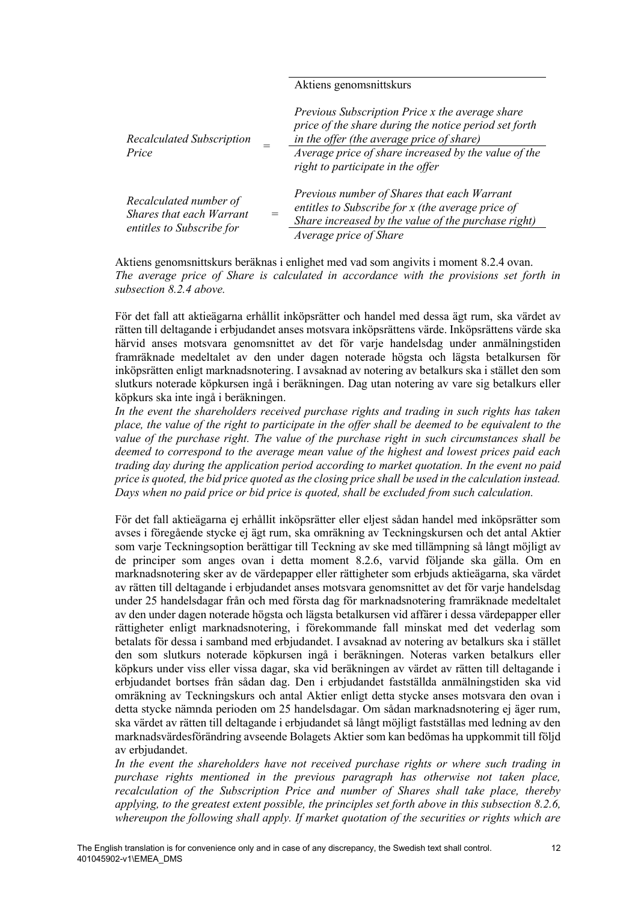|                                                                                 | Aktiens genomsnittskurs                                                                                                                                                                                                                            |
|---------------------------------------------------------------------------------|----------------------------------------------------------------------------------------------------------------------------------------------------------------------------------------------------------------------------------------------------|
| <b>Recalculated Subscription</b><br>Price                                       | Previous Subscription Price x the average share<br>price of the share during the notice period set forth<br>in the offer (the average price of share)<br>Average price of share increased by the value of the<br>right to participate in the offer |
| Recalculated number of<br>Shares that each Warrant<br>entitles to Subscribe for | Previous number of Shares that each Warrant<br>entitles to Subscribe for x (the average price of<br>Share increased by the value of the purchase right)<br>Average price of Share                                                                  |

Aktiens genomsnittskurs beräknas i enlighet med vad som angivits i moment [8.2.4](#page-6-0) ovan. *The average price of Share is calculated in accordance with the provisions set forth in subsection [8.2.4](#page-6-0) above.*

För det fall att aktieägarna erhållit inköpsrätter och handel med dessa ägt rum, ska värdet av rätten till deltagande i erbjudandet anses motsvara inköpsrättens värde. Inköpsrättens värde ska härvid anses motsvara genomsnittet av det för varje handelsdag under anmälningstiden framräknade medeltalet av den under dagen noterade högsta och lägsta betalkursen för inköpsrätten enligt marknadsnotering. I avsaknad av notering av betalkurs ska i stället den som slutkurs noterade köpkursen ingå i beräkningen. Dag utan notering av vare sig betalkurs eller köpkurs ska inte ingå i beräkningen.

*In the event the shareholders received purchase rights and trading in such rights has taken place, the value of the right to participate in the offer shall be deemed to be equivalent to the value of the purchase right. The value of the purchase right in such circumstances shall be deemed to correspond to the average mean value of the highest and lowest prices paid each trading day during the application period according to market quotation. In the event no paid price is quoted, the bid price quoted as the closing price shall be used in the calculation instead. Days when no paid price or bid price is quoted, shall be excluded from such calculation.*

För det fall aktieägarna ej erhållit inköpsrätter eller eljest sådan handel med inköpsrätter som avses i föregående stycke ej ägt rum, ska omräkning av Teckningskursen och det antal Aktier som varje Teckningsoption berättigar till Teckning av ske med tillämpning så långt möjligt av de principer som anges ovan i detta moment [8.2.6,](#page-10-0) varvid följande ska gälla. Om en marknadsnotering sker av de värdepapper eller rättigheter som erbjuds aktieägarna, ska värdet av rätten till deltagande i erbjudandet anses motsvara genomsnittet av det för varje handelsdag under 25 handelsdagar från och med första dag för marknadsnotering framräknade medeltalet av den under dagen noterade högsta och lägsta betalkursen vid affärer i dessa värdepapper eller rättigheter enligt marknadsnotering, i förekommande fall minskat med det vederlag som betalats för dessa i samband med erbjudandet. I avsaknad av notering av betalkurs ska i stället den som slutkurs noterade köpkursen ingå i beräkningen. Noteras varken betalkurs eller köpkurs under viss eller vissa dagar, ska vid beräkningen av värdet av rätten till deltagande i erbjudandet bortses från sådan dag. Den i erbjudandet fastställda anmälningstiden ska vid omräkning av Teckningskurs och antal Aktier enligt detta stycke anses motsvara den ovan i detta stycke nämnda perioden om 25 handelsdagar. Om sådan marknadsnotering ej äger rum, ska värdet av rätten till deltagande i erbjudandet så långt möjligt fastställas med ledning av den marknadsvärdesförändring avseende Bolagets Aktier som kan bedömas ha uppkommit till följd av erbjudandet.

In the event the shareholders have not received purchase rights or where such trading in *purchase rights mentioned in the previous paragraph has otherwise not taken place, recalculation of the Subscription Price and number of Shares shall take place, thereby applying, to the greatest extent possible, the principles set forth above in this subsection [8.2.6,](#page-10-0) whereupon the following shall apply. If market quotation of the securities or rights which are*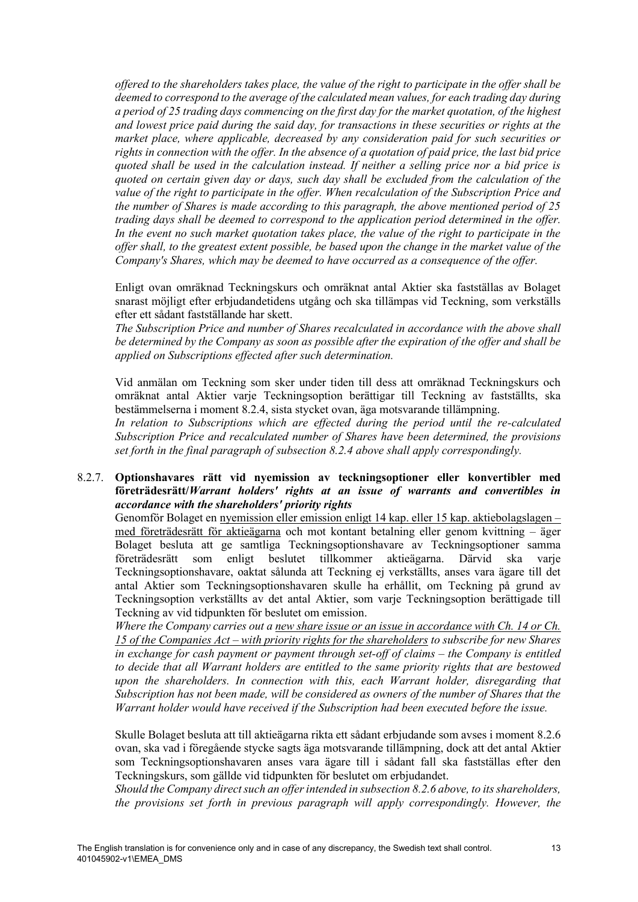*offered to the shareholders takes place, the value of the right to participate in the offer shall be deemed to correspond to the average of the calculated mean values, for each trading day during a period of 25 trading days commencing on the first day for the market quotation, of the highest and lowest price paid during the said day, for transactions in these securities or rights at the market place, where applicable, decreased by any consideration paid for such securities or rights in connection with the offer. In the absence of a quotation of paid price, the last bid price quoted shall be used in the calculation instead. If neither a selling price nor a bid price is quoted on certain given day or days, such day shall be excluded from the calculation of the value of the right to participate in the offer. When recalculation of the Subscription Price and the number of Shares is made according to this paragraph, the above mentioned period of 25 trading days shall be deemed to correspond to the application period determined in the offer. In the event no such market quotation takes place, the value of the right to participate in the offer shall, to the greatest extent possible, be based upon the change in the market value of the Company's Shares, which may be deemed to have occurred as a consequence of the offer.*

Enligt ovan omräknad Teckningskurs och omräknat antal Aktier ska fastställas av Bolaget snarast möjligt efter erbjudandetidens utgång och ska tillämpas vid Teckning, som verkställs efter ett sådant fastställande har skett.

*The Subscription Price and number of Shares recalculated in accordance with the above shall be determined by the Company as soon as possible after the expiration of the offer and shall be applied on Subscriptions effected after such determination.*

Vid anmälan om Teckning som sker under tiden till dess att omräknad Teckningskurs och omräknat antal Aktier varje Teckningsoption berättigar till Teckning av fastställts, ska bestämmelserna i moment [8.2.4,](#page-6-0) sista stycket ovan, äga motsvarande tillämpning.

In relation to Subscriptions which are effected during the period until the re-calculated *Subscription Price and recalculated number of Shares have been determined, the provisions set forth in the final paragraph of subsection [8.2.4](#page-6-0) above shall apply correspondingly.*

# 8.2.7. **Optionshavares rätt vid nyemission av teckningsoptioner eller konvertibler med företrädesrätt/***Warrant holders' rights at an issue of warrants and convertibles in accordance with the shareholders' priority rights*

Genomför Bolaget en nyemission eller emission enligt 14 kap. eller 15 kap. aktiebolagslagen – med företrädesrätt för aktieägarna och mot kontant betalning eller genom kvittning – äger Bolaget besluta att ge samtliga Teckningsoptionshavare av Teckningsoptioner samma företrädesrätt som enligt beslutet tillkommer aktieägarna. Därvid ska varje Teckningsoptionshavare, oaktat sålunda att Teckning ej verkställts, anses vara ägare till det antal Aktier som Teckningsoptionshavaren skulle ha erhållit, om Teckning på grund av Teckningsoption verkställts av det antal Aktier, som varje Teckningsoption berättigade till Teckning av vid tidpunkten för beslutet om emission.

*Where the Company carries out a new share issue or an issue in accordance with Ch. 14 or Ch. 15 of the Companies Act – with priority rights for the shareholders to subscribe for new Shares in exchange for cash payment or payment through set-off of claims – the Company is entitled to decide that all Warrant holders are entitled to the same priority rights that are bestowed upon the shareholders. In connection with this, each Warrant holder, disregarding that Subscription has not been made, will be considered as owners of the number of Shares that the Warrant holder would have received if the Subscription had been executed before the issue.*

Skulle Bolaget besluta att till aktieägarna rikta ett sådant erbjudande som avses i moment [8.2.6](#page-10-0) ovan, ska vad i föregående stycke sagts äga motsvarande tillämpning, dock att det antal Aktier som Teckningsoptionshavaren anses vara ägare till i sådant fall ska fastställas efter den Teckningskurs, som gällde vid tidpunkten för beslutet om erbjudandet.

*Should the Company direct such an offer intended in subsection [8.2.6](#page-10-0) above, to its shareholders, the provisions set forth in previous paragraph will apply correspondingly. However, the*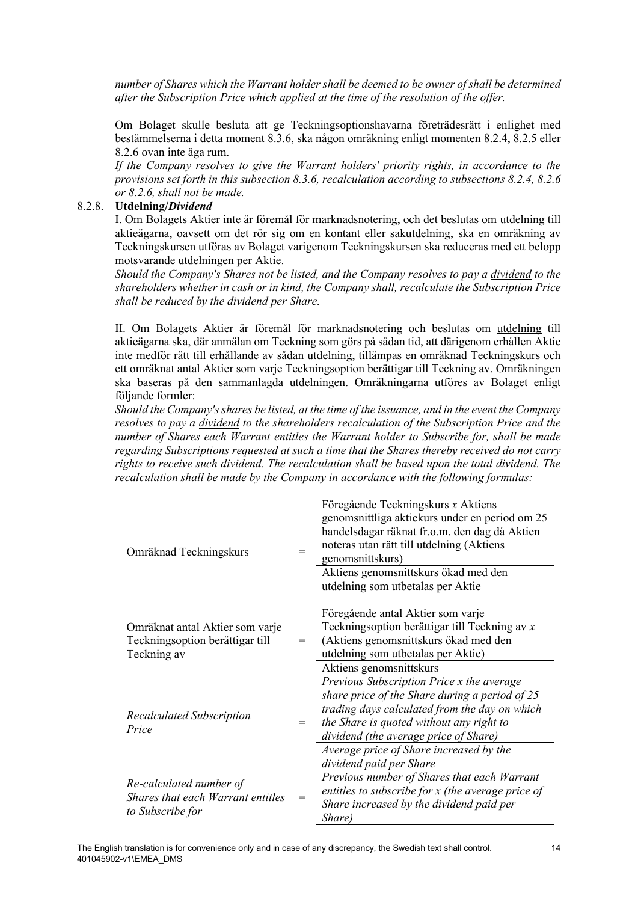*number of Shares which the Warrant holder shall be deemed to be owner of shall be determined after the Subscription Price which applied at the time of the resolution of the offer.*

Om Bolaget skulle besluta att ge Teckningsoptionshavarna företrädesrätt i enlighet med bestämmelserna i detta moment 8.3.6, ska någon omräkning enligt momenten [8.2.4,](#page-6-0) [8.2.5](#page-8-0) eller [8.2.6](#page-10-0) ovan inte äga rum.

*If the Company resolves to give the Warrant holders' priority rights, in accordance to the provisions set forth in this subsection 8.3.6, recalculation according to subsections [8.2.4,](#page-6-0) [8.2.6](#page-10-0) or [8.2.6,](#page-10-0) shall not be made.*

# <span id="page-13-0"></span>8.2.8. **Utdelning/***Dividend*

I. Om Bolagets Aktier inte är föremål för marknadsnotering, och det beslutas om utdelning till aktieägarna, oavsett om det rör sig om en kontant eller sakutdelning, ska en omräkning av Teckningskursen utföras av Bolaget varigenom Teckningskursen ska reduceras med ett belopp motsvarande utdelningen per Aktie.

*Should the Company's Shares not be listed, and the Company resolves to pay a dividend to the shareholders whether in cash or in kind, the Company shall, recalculate the Subscription Price shall be reduced by the dividend per Share.* 

II. Om Bolagets Aktier är föremål för marknadsnotering och beslutas om utdelning till aktieägarna ska, där anmälan om Teckning som görs på sådan tid, att därigenom erhållen Aktie inte medför rätt till erhållande av sådan utdelning, tillämpas en omräknad Teckningskurs och ett omräknat antal Aktier som varje Teckningsoption berättigar till Teckning av. Omräkningen ska baseras på den sammanlagda utdelningen. Omräkningarna utföres av Bolaget enligt följande formler:

*Should the Company's shares be listed, at the time of the issuance, and in the event the Company resolves to pay a dividend to the shareholders recalculation of the Subscription Price and the number of Shares each Warrant entitles the Warrant holder to Subscribe for, shall be made regarding Subscriptions requested at such a time that the Shares thereby received do not carry rights to receive such dividend. The recalculation shall be based upon the total dividend. The recalculation shall be made by the Company in accordance with the following formulas:*

| Omräknad Teckningskurs                                                            |     | Föregående Teckningskurs x Aktiens<br>genomsnittliga aktiekurs under en period om 25<br>handelsdagar räknat fr.o.m. den dag då Aktien<br>noteras utan rätt till utdelning (Aktiens<br>genomsnittskurs)                                                       |
|-----------------------------------------------------------------------------------|-----|--------------------------------------------------------------------------------------------------------------------------------------------------------------------------------------------------------------------------------------------------------------|
|                                                                                   |     | Aktiens genomsnittskurs ökad med den<br>utdelning som utbetalas per Aktie                                                                                                                                                                                    |
| Omräknat antal Aktier som varje<br>Teckningsoption berättigar till<br>Teckning av | $=$ | Föregående antal Aktier som varje<br>Teckningsoption berättigar till Teckning av x<br>(Aktiens genomsnittskurs ökad med den<br>utdelning som utbetalas per Aktie)                                                                                            |
| <b>Recalculated Subscription</b><br>Price                                         | $=$ | Aktiens genomsnittskurs<br>Previous Subscription Price x the average<br>share price of the Share during a period of 25<br>trading days calculated from the day on which<br>the Share is quoted without any right to<br>dividend (the average price of Share) |
| Re-calculated number of<br>Shares that each Warrant entitles<br>to Subscribe for  | $=$ | Average price of Share increased by the<br>dividend paid per Share<br>Previous number of Shares that each Warrant<br>entitles to subscribe for x (the average price of<br>Share increased by the dividend paid per<br>Share)                                 |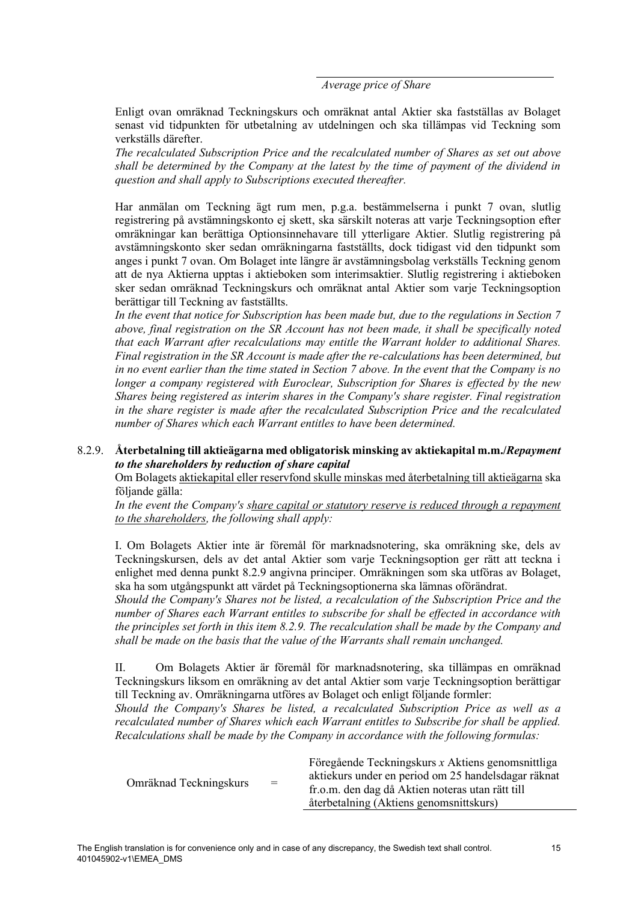*Average price of Share*

Enligt ovan omräknad Teckningskurs och omräknat antal Aktier ska fastställas av Bolaget senast vid tidpunkten för utbetalning av utdelningen och ska tillämpas vid Teckning som verkställs därefter.

*The recalculated Subscription Price and the recalculated number of Shares as set out above shall be determined by the Company at the latest by the time of payment of the dividend in question and shall apply to Subscriptions executed thereafter.*

Har anmälan om Teckning ägt rum men, p.g.a. bestämmelserna i punkt [7](#page-3-1) ovan, slutlig registrering på avstämningskonto ej skett, ska särskilt noteras att varje Teckningsoption efter omräkningar kan berättiga Optionsinnehavare till ytterligare Aktier. Slutlig registrering på avstämningskonto sker sedan omräkningarna fastställts, dock tidigast vid den tidpunkt som anges i punkt [7](#page-3-1) ovan. Om Bolaget inte längre är avstämningsbolag verkställs Teckning genom att de nya Aktierna upptas i aktieboken som interimsaktier. Slutlig registrering i aktieboken sker sedan omräknad Teckningskurs och omräknat antal Aktier som varje Teckningsoption berättigar till Teckning av fastställts.

*In the event that notice for Subscription has been made but, due to the regulations in Section 7 above, final registration on the SR Account has not been made, it shall be specifically noted that each Warrant after recalculations may entitle the Warrant holder to additional Shares. Final registration in the SR Account is made after the re-calculations has been determined, but in no event earlier than the time stated in Section 7 above. In the event that the Company is no longer a company registered with Euroclear, Subscription for Shares is effected by the new Shares being registered as interim shares in the Company's share register. Final registration in the share register is made after the recalculated Subscription Price and the recalculated number of Shares which each Warrant entitles to have been determined.*

## <span id="page-14-0"></span>8.2.9. **Återbetalning till aktieägarna med obligatorisk minsking av aktiekapital m.m./***Repayment to the shareholders by reduction of share capital*

Om Bolagets aktiekapital eller reservfond skulle minskas med återbetalning till aktieägarna ska följande gälla:

*In the event the Company's share capital or statutory reserve is reduced through a repayment to the shareholders, the following shall apply:*

I. Om Bolagets Aktier inte är föremål för marknadsnotering, ska omräkning ske, dels av Teckningskursen, dels av det antal Aktier som varje Teckningsoption ger rätt att teckna i enlighet med denna punkt [8.2.9](#page-14-0) angivna principer. Omräkningen som ska utföras av Bolaget, ska ha som utgångspunkt att värdet på Teckningsoptionerna ska lämnas oförändrat.

*Should the Company's Shares not be listed, a recalculation of the Subscription Price and the number of Shares each Warrant entitles to subscribe for shall be effected in accordance with the principles set forth in this item [8.2.9.](#page-14-0) The recalculation shall be made by the Company and shall be made on the basis that the value of the Warrants shall remain unchanged.*

II. Om Bolagets Aktier är föremål för marknadsnotering, ska tillämpas en omräknad Teckningskurs liksom en omräkning av det antal Aktier som varje Teckningsoption berättigar till Teckning av. Omräkningarna utföres av Bolaget och enligt följande formler:

*Should the Company's Shares be listed, a recalculated Subscription Price as well as a recalculated number of Shares which each Warrant entitles to Subscribe for shall be applied. Recalculations shall be made by the Company in accordance with the following formulas:*

| Omräknad Teckningskurs | $=$ | Föregående Teckningskurs x Aktiens genomsnittliga   |
|------------------------|-----|-----------------------------------------------------|
|                        |     | aktiekurs under en period om 25 handelsdagar räknat |
|                        |     | fr.o.m. den dag då Aktien noteras utan rätt till    |
|                        |     | återbetalning (Aktiens genomsnittskurs)             |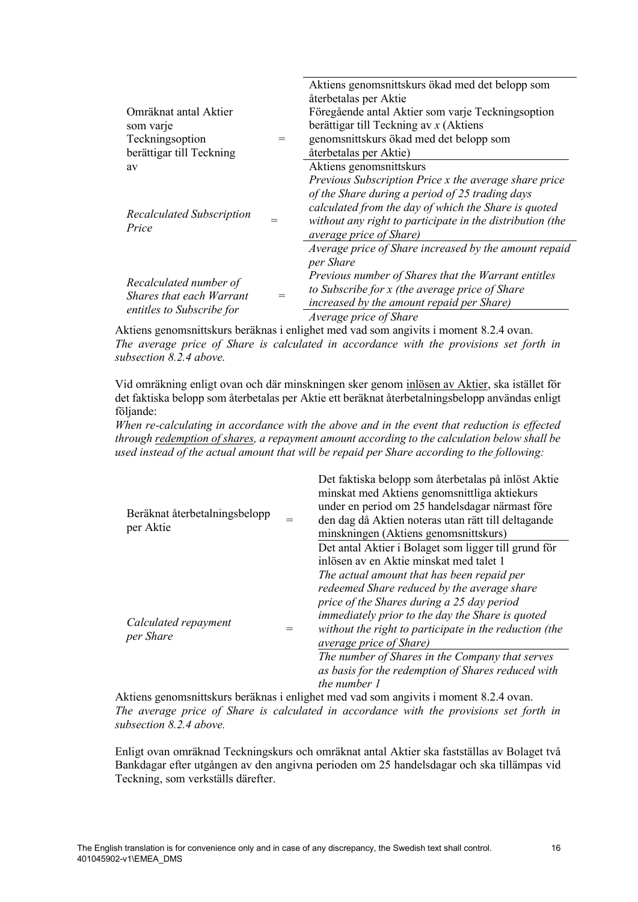|                                                                                 |  | Aktiens genomsnittskurs ökad med det belopp som           |
|---------------------------------------------------------------------------------|--|-----------------------------------------------------------|
|                                                                                 |  | återbetalas per Aktie                                     |
| Omräknat antal Aktier                                                           |  | Föregående antal Aktier som varje Teckningsoption         |
| som varje                                                                       |  | berättigar till Teckning av $x$ (Aktiens                  |
| Teckningsoption                                                                 |  | genomsnittskurs ökad med det belopp som                   |
| berättigar till Teckning                                                        |  | återbetalas per Aktie)                                    |
| av                                                                              |  | Aktiens genomsnittskurs                                   |
| <b>Recalculated Subscription</b><br>Price                                       |  | Previous Subscription Price x the average share price     |
|                                                                                 |  | of the Share during a period of 25 trading days           |
|                                                                                 |  | calculated from the day of which the Share is quoted      |
|                                                                                 |  | without any right to participate in the distribution (the |
|                                                                                 |  | average price of Share)                                   |
|                                                                                 |  | Average price of Share increased by the amount repaid     |
|                                                                                 |  | per Share                                                 |
| Recalculated number of<br>Shares that each Warrant<br>entitles to Subscribe for |  | Previous number of Shares that the Warrant entitles       |
|                                                                                 |  | to Subscribe for x (the average price of Share            |
|                                                                                 |  | increased by the amount repaid per Share)                 |
|                                                                                 |  | Average price of Share                                    |
|                                                                                 |  |                                                           |

Aktiens genomsnittskurs beräknas i enlighet med vad som angivits i moment [8.2.4](#page-6-0) ovan. *The average price of Share is calculated in accordance with the provisions set forth in subsection [8.2.4](#page-6-0) above.*

Vid omräkning enligt ovan och där minskningen sker genom inlösen av Aktier, ska istället för det faktiska belopp som återbetalas per Aktie ett beräknat återbetalningsbelopp användas enligt följande:

*When re-calculating in accordance with the above and in the event that reduction is effected through redemption of shares, a repayment amount according to the calculation below shall be used instead of the actual amount that will be repaid per Share according to the following:*

| Beräknat återbetalningsbelopp<br>per Aktie |     | Det faktiska belopp som återbetalas på inlöst Aktie<br>minskat med Aktiens genomsnittliga aktiekurs<br>under en period om 25 handelsdagar närmast före<br>den dag då Aktien noteras utan rätt till deltagande<br>minskningen (Aktiens genomsnittskurs)                                                                                                                                                                                 |
|--------------------------------------------|-----|----------------------------------------------------------------------------------------------------------------------------------------------------------------------------------------------------------------------------------------------------------------------------------------------------------------------------------------------------------------------------------------------------------------------------------------|
| Calculated repayment<br>per Share          | $=$ | Det antal Aktier i Bolaget som ligger till grund för<br>inlösen av en Aktie minskat med talet 1<br>The actual amount that has been repaid per<br>redeemed Share reduced by the average share<br>price of the Shares during a 25 day period<br>immediately prior to the day the Share is quoted<br>without the right to participate in the reduction (the<br>average price of Share)<br>The number of Shares in the Company that serves |
|                                            |     | as basis for the redemption of Shares reduced with<br>the number 1                                                                                                                                                                                                                                                                                                                                                                     |

Aktiens genomsnittskurs beräknas i enlighet med vad som angivits i moment [8.2.4](#page-6-0) ovan. *The average price of Share is calculated in accordance with the provisions set forth in subsection [8.2.4](#page-6-0) above.*

Enligt ovan omräknad Teckningskurs och omräknat antal Aktier ska fastställas av Bolaget två Bankdagar efter utgången av den angivna perioden om 25 handelsdagar och ska tillämpas vid Teckning, som verkställs därefter.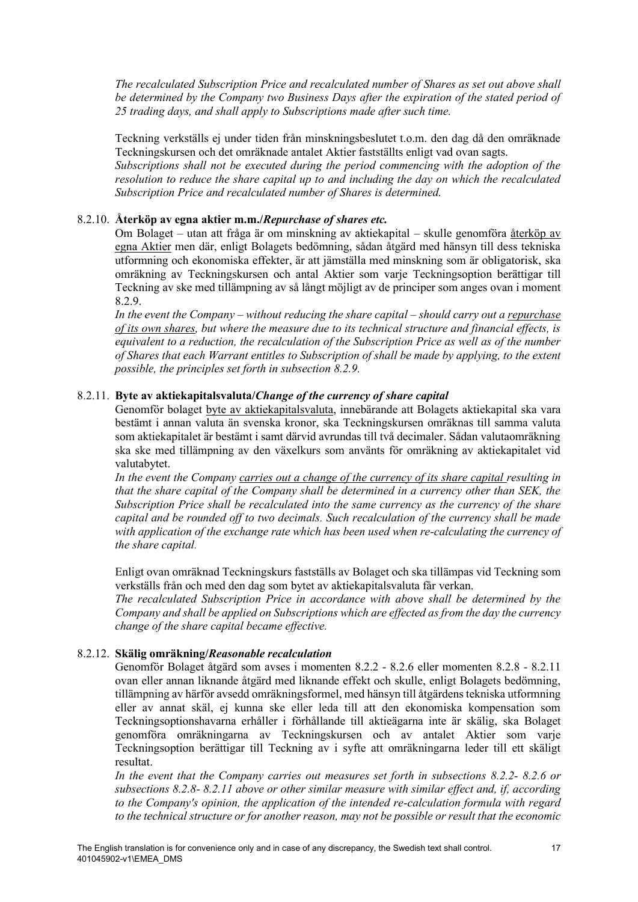*The recalculated Subscription Price and recalculated number of Shares as set out above shall*  be determined by the Company two Business Days after the expiration of the stated period of *25 trading days, and shall apply to Subscriptions made after such time.*

Teckning verkställs ej under tiden från minskningsbeslutet t.o.m. den dag då den omräknade Teckningskursen och det omräknade antalet Aktier fastställts enligt vad ovan sagts.

*Subscriptions shall not be executed during the period commencing with the adoption of the resolution to reduce the share capital up to and including the day on which the recalculated Subscription Price and recalculated number of Shares is determined.*

## 8.2.10. **Återköp av egna aktier m.m./***Repurchase of shares etc.*

Om Bolaget – utan att fråga är om minskning av aktiekapital – skulle genomföra återköp av egna Aktier men där, enligt Bolagets bedömning, sådan åtgärd med hänsyn till dess tekniska utformning och ekonomiska effekter, är att jämställa med minskning som är obligatorisk, ska omräkning av Teckningskursen och antal Aktier som varje Teckningsoption berättigar till Teckning av ske med tillämpning av så långt möjligt av de principer som anges ovan i moment [8.2.9.](#page-14-0)

*In the event the Company – without reducing the share capital – should carry out a repurchase of its own shares, but where the measure due to its technical structure and financial effects, is equivalent to a reduction, the recalculation of the Subscription Price as well as of the number of Shares that each Warrant entitles to Subscription of shall be made by applying, to the extent possible, the principles set forth in subsection [8.2.9.](#page-14-0)*

### <span id="page-16-0"></span>8.2.11. **Byte av aktiekapitalsvaluta/***Change of the currency of share capital*

Genomför bolaget byte av aktiekapitalsvaluta, innebärande att Bolagets aktiekapital ska vara bestämt i annan valuta än svenska kronor, ska Teckningskursen omräknas till samma valuta som aktiekapitalet är bestämt i samt därvid avrundas till två decimaler. Sådan valutaomräkning ska ske med tillämpning av den växelkurs som använts för omräkning av aktiekapitalet vid valutabytet.

*In the event the Company carries out a change of the currency of its share capital resulting in that the share capital of the Company shall be determined in a currency other than SEK, the Subscription Price shall be recalculated into the same currency as the currency of the share capital and be rounded off to two decimals. Such recalculation of the currency shall be made with application of the exchange rate which has been used when re-calculating the currency of the share capital.*

Enligt ovan omräknad Teckningskurs fastställs av Bolaget och ska tillämpas vid Teckning som verkställs från och med den dag som bytet av aktiekapitalsvaluta får verkan.

*The recalculated Subscription Price in accordance with above shall be determined by the Company and shall be applied on Subscriptions which are effected as from the day the currency change of the share capital became effective.*

## <span id="page-16-1"></span>8.2.12. **Skälig omräkning/***Reasonable recalculation*

Genomför Bolaget åtgärd som avses i momenten [8.2.2](#page-5-1) - [8.2.6](#page-10-0) eller momenten [8.2.8](#page-13-0) - [8.2.11](#page-16-0) ovan eller annan liknande åtgärd med liknande effekt och skulle, enligt Bolagets bedömning, tillämpning av härför avsedd omräkningsformel, med hänsyn till åtgärdens tekniska utformning eller av annat skäl, ej kunna ske eller leda till att den ekonomiska kompensation som Teckningsoptionshavarna erhåller i förhållande till aktieägarna inte är skälig, ska Bolaget genomföra omräkningarna av Teckningskursen och av antalet Aktier som varje Teckningsoption berättigar till Teckning av i syfte att omräkningarna leder till ett skäligt resultat.

*In the event that the Company carries out measures set forth in subsections [8.2.2-](#page-5-1) [8.2.6](#page-10-0) or subsections [8.2.8-](#page-13-0) [8.2.11](#page-16-0) above or other similar measure with similar effect and, if, according to the Company's opinion, the application of the intended re-calculation formula with regard to the technical structure or for another reason, may not be possible or result that the economic*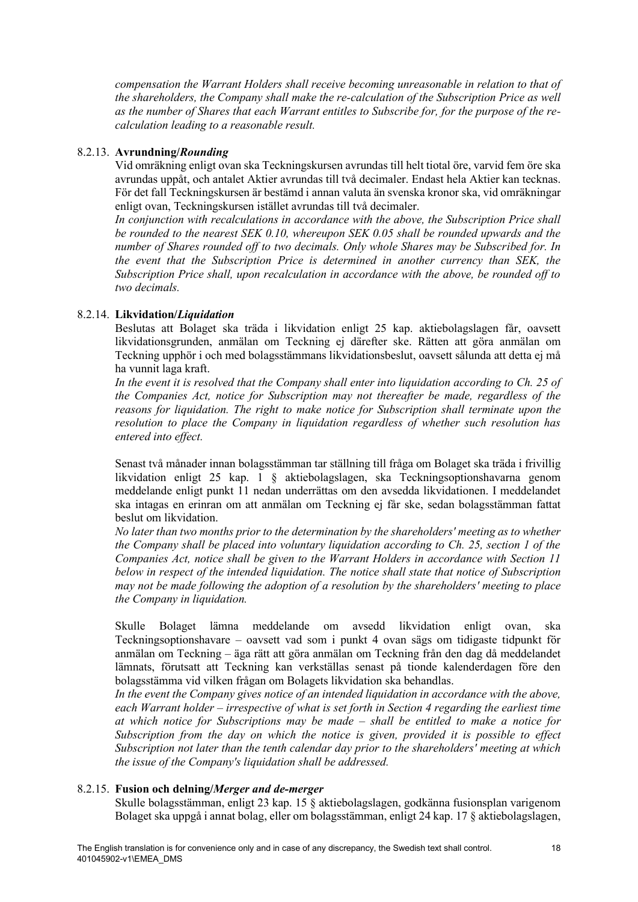*compensation the Warrant Holders shall receive becoming unreasonable in relation to that of the shareholders, the Company shall make the re-calculation of the Subscription Price as well as the number of Shares that each Warrant entitles to Subscribe for, for the purpose of the recalculation leading to a reasonable result.*

# 8.2.13. **Avrundning/***Rounding*

Vid omräkning enligt ovan ska Teckningskursen avrundas till helt tiotal öre, varvid fem öre ska avrundas uppåt, och antalet Aktier avrundas till två decimaler. Endast hela Aktier kan tecknas. För det fall Teckningskursen är bestämd i annan valuta än svenska kronor ska, vid omräkningar enligt ovan, Teckningskursen istället avrundas till två decimaler.

*In conjunction with recalculations in accordance with the above, the Subscription Price shall be rounded to the nearest SEK 0.10, whereupon SEK 0.05 shall be rounded upwards and the number of Shares rounded off to two decimals. Only whole Shares may be Subscribed for. In the event that the Subscription Price is determined in another currency than SEK, the Subscription Price shall, upon recalculation in accordance with the above, be rounded off to two decimals.*

# <span id="page-17-0"></span>8.2.14. **Likvidation/***Liquidation*

Beslutas att Bolaget ska träda i likvidation enligt 25 kap. aktiebolagslagen får, oavsett likvidationsgrunden, anmälan om Teckning ej därefter ske. Rätten att göra anmälan om Teckning upphör i och med bolagsstämmans likvidationsbeslut, oavsett sålunda att detta ej må ha vunnit laga kraft.

*In the event it is resolved that the Company shall enter into liquidation according to Ch. 25 of the Companies Act, notice for Subscription may not thereafter be made, regardless of the reasons for liquidation. The right to make notice for Subscription shall terminate upon the resolution to place the Company in liquidation regardless of whether such resolution has entered into effect.*

Senast två månader innan bolagsstämman tar ställning till fråga om Bolaget ska träda i frivillig likvidation enligt 25 kap. 1 § aktiebolagslagen, ska Teckningsoptionshavarna genom meddelande enligt punkt 11 nedan underrättas om den avsedda likvidationen. I meddelandet ska intagas en erinran om att anmälan om Teckning ej får ske, sedan bolagsstämman fattat beslut om likvidation.

*No later than two months prior to the determination by the shareholders' meeting as to whether the Company shall be placed into voluntary liquidation according to Ch. 25, section 1 of the Companies Act, notice shall be given to the Warrant Holders in accordance with Section 11 below in respect of the intended liquidation. The notice shall state that notice of Subscription may not be made following the adoption of a resolution by the shareholders' meeting to place the Company in liquidation.*

Skulle Bolaget lämna meddelande om avsedd likvidation enligt ovan, ska Teckningsoptionshavare – oavsett vad som i punkt 4 ovan sägs om tidigaste tidpunkt för anmälan om Teckning – äga rätt att göra anmälan om Teckning från den dag då meddelandet lämnats, förutsatt att Teckning kan verkställas senast på tionde kalenderdagen före den bolagsstämma vid vilken frågan om Bolagets likvidation ska behandlas.

*In the event the Company gives notice of an intended liquidation in accordance with the above, each Warrant holder – irrespective of what is set forth in Section 4 regarding the earliest time at which notice for Subscriptions may be made – shall be entitled to make a notice for Subscription from the day on which the notice is given, provided it is possible to effect Subscription not later than the tenth calendar day prior to the shareholders' meeting at which the issue of the Company's liquidation shall be addressed.*

## <span id="page-17-1"></span>8.2.15. **Fusion och delning/***Merger and de-merger*

Skulle bolagsstämman, enligt 23 kap. 15 § aktiebolagslagen, godkänna fusionsplan varigenom Bolaget ska uppgå i annat bolag, eller om bolagsstämman, enligt 24 kap. 17 § aktiebolagslagen,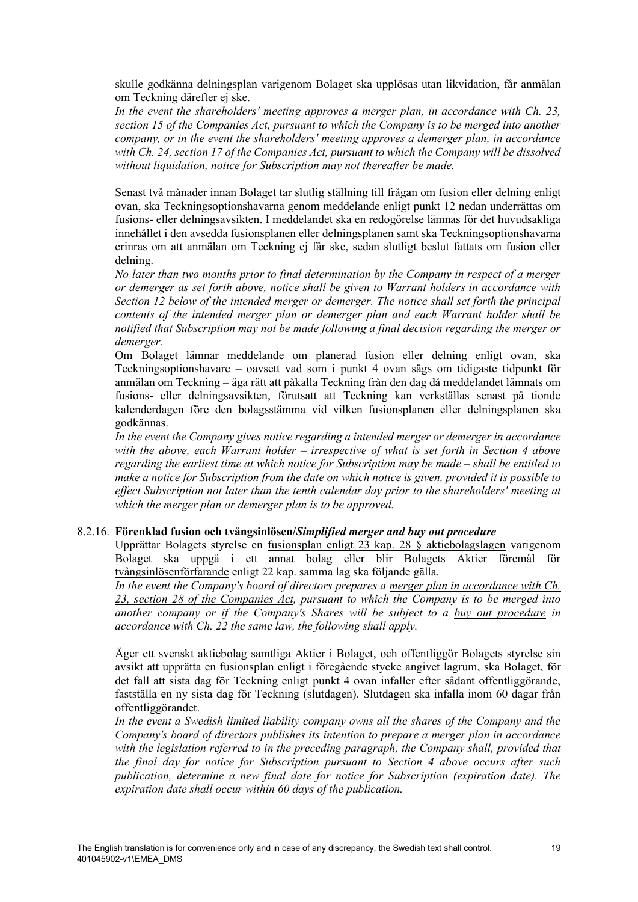skulle godkänna delningsplan varigenom Bolaget ska upplösas utan likvidation, får anmälan om Teckning därefter ej ske.

*In the event the shareholders' meeting approves a merger plan, in accordance with Ch. 23, section 15 of the Companies Act, pursuant to which the Company is to be merged into another company, or in the event the shareholders' meeting approves a demerger plan, in accordance with Ch. 24, section 17 of the Companies Act, pursuant to which the Company will be dissolved without liquidation, notice for Subscription may not thereafter be made.*

Senast två månader innan Bolaget tar slutlig ställning till frågan om fusion eller delning enligt ovan, ska Teckningsoptionshavarna genom meddelande enligt punkt 12 nedan underrättas om fusions- eller delningsavsikten. I meddelandet ska en redogörelse lämnas för det huvudsakliga innehållet i den avsedda fusionsplanen eller delningsplanen samt ska Teckningsoptionshavarna erinras om att anmälan om Teckning ej får ske, sedan slutligt beslut fattats om fusion eller delning.

*No later than two months prior to final determination by the Company in respect of a merger or demerger as set forth above, notice shall be given to Warrant holders in accordance with Section 12 below of the intended merger or demerger. The notice shall set forth the principal contents of the intended merger plan or demerger plan and each Warrant holder shall be notified that Subscription may not be made following a final decision regarding the merger or demerger.*

Om Bolaget lämnar meddelande om planerad fusion eller delning enligt ovan, ska Teckningsoptionshavare – oavsett vad som i punkt 4 ovan sägs om tidigaste tidpunkt för anmälan om Teckning – äga rätt att påkalla Teckning från den dag då meddelandet lämnats om fusions- eller delningsavsikten, förutsatt att Teckning kan verkställas senast på tionde kalenderdagen före den bolagsstämma vid vilken fusionsplanen eller delningsplanen ska godkännas.

*In the event the Company gives notice regarding a intended merger or demerger in accordance with the above, each Warrant holder – irrespective of what is set forth in Section 4 above regarding the earliest time at which notice for Subscription may be made – shall be entitled to make a notice for Subscription from the date on which notice is given, provided it is possible to effect Subscription not later than the tenth calendar day prior to the shareholders' meeting at which the merger plan or demerger plan is to be approved.*

#### <span id="page-18-0"></span>8.2.16. **Förenklad fusion och tvångsinlösen/***Simplified merger and buy out procedure*

Upprättar Bolagets styrelse en fusionsplan enligt 23 kap. 28 § aktiebolagslagen varigenom Bolaget ska uppgå i ett annat bolag eller blir Bolagets Aktier föremål för tvångsinlösenförfarande enligt 22 kap. samma lag ska följande gälla.

*In the event the Company's board of directors prepares a merger plan in accordance with Ch. 23, section 28 of the Companies Act, pursuant to which the Company is to be merged into another company or if the Company's Shares will be subject to a buy out procedure in accordance with Ch. 22 the same law, the following shall apply.* 

Äger ett svenskt aktiebolag samtliga Aktier i Bolaget, och offentliggör Bolagets styrelse sin avsikt att upprätta en fusionsplan enligt i föregående stycke angivet lagrum, ska Bolaget, för det fall att sista dag för Teckning enligt punkt 4 ovan infaller efter sådant offentliggörande, fastställa en ny sista dag för Teckning (slutdagen). Slutdagen ska infalla inom 60 dagar från offentliggörandet.

*In the event a Swedish limited liability company owns all the shares of the Company and the Company's board of directors publishes its intention to prepare a merger plan in accordance with the legislation referred to in the preceding paragraph, the Company shall, provided that the final day for notice for Subscription pursuant to Section 4 above occurs after such publication, determine a new final date for notice for Subscription (expiration date). The expiration date shall occur within 60 days of the publication.*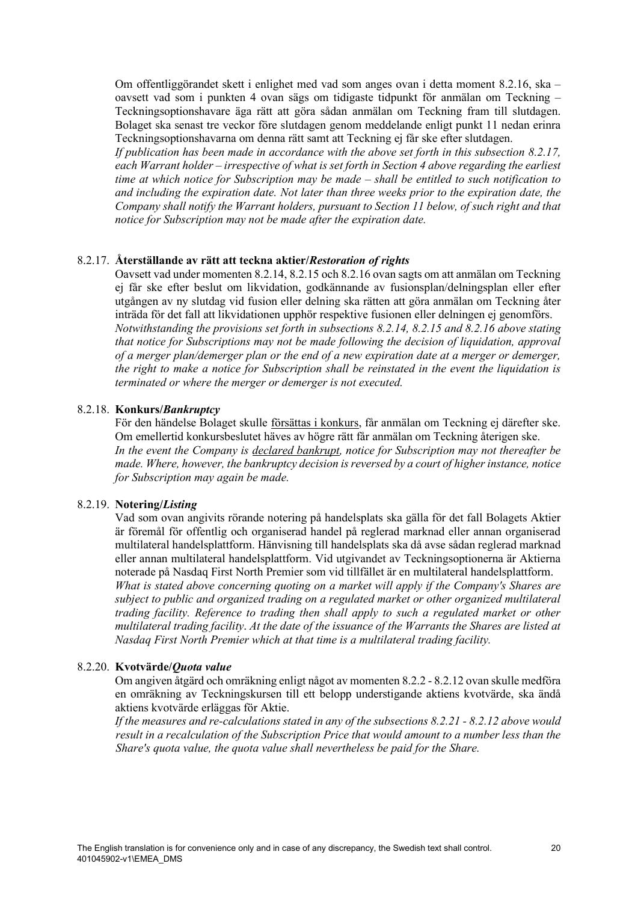Om offentliggörandet skett i enlighet med vad som anges ovan i detta moment [8.2.16,](#page-18-0) ska – oavsett vad som i punkten 4 ovan sägs om tidigaste tidpunkt för anmälan om Teckning – Teckningsoptionshavare äga rätt att göra sådan anmälan om Teckning fram till slutdagen. Bolaget ska senast tre veckor före slutdagen genom meddelande enligt punkt 11 nedan erinra Teckningsoptionshavarna om denna rätt samt att Teckning ej får ske efter slutdagen.

*If publication has been made in accordance with the above set forth in this subsection [8.2.17,](#page-19-1) each Warrant holder – irrespective of what is set forth in Section 4 above regarding the earliest time at which notice for Subscription may be made – shall be entitled to such notification to and including the expiration date. Not later than three weeks prior to the expiration date, the Company shall notify the Warrant holders, pursuant to Section 11 below, of such right and that notice for Subscription may not be made after the expiration date.*

#### <span id="page-19-1"></span>8.2.17. **Återställande av rätt att teckna aktier/***Restoration of rights*

Oavsett vad under momente[n 8.2.14,](#page-17-0) [8.2.15](#page-17-1) oc[h 8.2.16](#page-18-0) ovan sagts om att anmälan om Teckning ej får ske efter beslut om likvidation, godkännande av fusionsplan/delningsplan eller efter utgången av ny slutdag vid fusion eller delning ska rätten att göra anmälan om Teckning åter inträda för det fall att likvidationen upphör respektive fusionen eller delningen ej genomförs. *Notwithstanding the provisions set forth in subsections [8.2.14,](#page-17-0) [8.2.15](#page-17-1) and [8.2.16](#page-18-0) above stating that notice for Subscriptions may not be made following the decision of liquidation, approval of a merger plan/demerger plan or the end of a new expiration date at a merger or demerger, the right to make a notice for Subscription shall be reinstated in the event the liquidation is terminated or where the merger or demerger is not executed.*

#### 8.2.18. **Konkurs/***Bankruptcy*

För den händelse Bolaget skulle försättas i konkurs, får anmälan om Teckning ej därefter ske. Om emellertid konkursbeslutet häves av högre rätt får anmälan om Teckning återigen ske. *In the event the Company is declared bankrupt, notice for Subscription may not thereafter be made. Where, however, the bankruptcy decision is reversed by a court of higher instance, notice for Subscription may again be made.*

#### 8.2.19. **Notering/***Listing*

Vad som ovan angivits rörande notering på handelsplats ska gälla för det fall Bolagets Aktier är föremål för offentlig och organiserad handel på reglerad marknad eller annan organiserad multilateral handelsplattform. Hänvisning till handelsplats ska då avse sådan reglerad marknad eller annan multilateral handelsplattform. Vid utgivandet av Teckningsoptionerna är Aktierna noterade på Nasdaq First North Premier som vid tillfället är en multilateral handelsplattform. *What is stated above concerning quoting on a market will apply if the Company's Shares are subject to public and organized trading on a regulated market or other organized multilateral trading facility. Reference to trading then shall apply to such a regulated market or other multilateral trading facility*. *At the date of the issuance of the Warrants the Shares are listed at Nasdaq First North Premier which at that time is a multilateral trading facility.*

#### <span id="page-19-0"></span>8.2.20. **Kvotvärde/***Quota value*

Om angiven åtgärd och omräkning enligt något av momente[n 8.2.2](#page-5-1) - [8.2.12](#page-16-1) ovan skulle medföra en omräkning av Teckningskursen till ett belopp understigande aktiens kvotvärde, ska ändå aktiens kvotvärde erläggas för Aktie.

*If the measures and re-calculations stated in any of the subsections [8.2.21](#page-5-1) - [8.2.12](#page-16-1) above would result in a recalculation of the Subscription Price that would amount to a number less than the Share's quota value, the quota value shall nevertheless be paid for the Share.*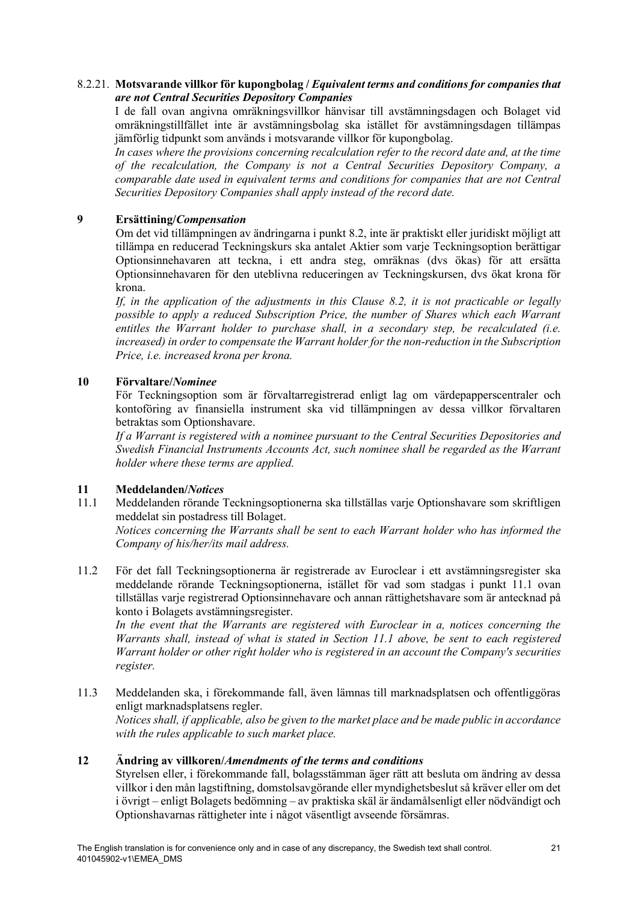# 8.2.21. **Motsvarande villkor för kupongbolag /** *Equivalent terms and conditions for companies that are not Central Securities Depository Companies*

I de fall ovan angivna omräkningsvillkor hänvisar till avstämningsdagen och Bolaget vid omräkningstillfället inte är avstämningsbolag ska istället för avstämningsdagen tillämpas jämförlig tidpunkt som används i motsvarande villkor för kupongbolag.

*In cases where the provisions concerning recalculation refer to the record date and, at the time of the recalculation, the Company is not a Central Securities Depository Company, a comparable date used in equivalent terms and conditions for companies that are not Central Securities Depository Companies shall apply instead of the record date.*

# **9 Ersättining/***Compensation*

Om det vid tillämpningen av ändringarna i punkt [8.2,](#page-5-0) inte är praktiskt eller juridiskt möjligt att tillämpa en reducerad Teckningskurs ska antalet Aktier som varje Teckningsoption berättigar Optionsinnehavaren att teckna, i ett andra steg, omräknas (dvs ökas) för att ersätta Optionsinnehavaren för den uteblivna reduceringen av Teckningskursen, dvs ökat krona för krona.

*If, in the application of the adjustments in this Clause [8.2,](#page-5-0) it is not practicable or legally possible to apply a reduced Subscription Price, the number of Shares which each Warrant entitles the Warrant holder to purchase shall, in a secondary step, be recalculated (i.e. increased) in order to compensate the Warrant holder for the non-reduction in the Subscription Price, i.e. increased krona per krona.*

## **10 Förvaltare/***Nominee*

För Teckningsoption som är förvaltarregistrerad enligt lag om värdepapperscentraler och kontoföring av finansiella instrument ska vid tillämpningen av dessa villkor förvaltaren betraktas som Optionshavare.

*If a Warrant is registered with a nominee pursuant to the Central Securities Depositories and Swedish Financial Instruments Accounts Act, such nominee shall be regarded as the Warrant holder where these terms are applied.*

# **11 Meddelanden/***Notices*

<span id="page-20-0"></span>11.1 Meddelanden rörande Teckningsoptionerna ska tillställas varje Optionshavare som skriftligen meddelat sin postadress till Bolaget.

*Notices concerning the Warrants shall be sent to each Warrant holder who has informed the Company of his/her/its mail address.*

11.2 För det fall Teckningsoptionerna är registrerade av Euroclear i ett avstämningsregister ska meddelande rörande Teckningsoptionerna, istället för vad som stadgas i punkt [11.1](#page-20-0) ovan tillställas varje registrerad Optionsinnehavare och annan rättighetshavare som är antecknad på konto i Bolagets avstämningsregister.

*In the event that the Warrants are registered with Euroclear in a, notices concerning the Warrants shall, instead of what is stated in Section [11.1](#page-20-0) above, be sent to each registered Warrant holder or other right holder who is registered in an account the Company's securities register.*

11.3 Meddelanden ska, i förekommande fall, även lämnas till marknadsplatsen och offentliggöras enligt marknadsplatsens regler. *Notices shall, if applicable, also be given to the market place and be made public in accordance with the rules applicable to such market place.*

## **12 Ändring av villkoren/***Amendments of the terms and conditions*

Styrelsen eller, i förekommande fall, bolagsstämman äger rätt att besluta om ändring av dessa villkor i den mån lagstiftning, domstolsavgörande eller myndighetsbeslut så kräver eller om det i övrigt – enligt Bolagets bedömning – av praktiska skäl är ändamålsenligt eller nödvändigt och Optionshavarnas rättigheter inte i något väsentligt avseende försämras.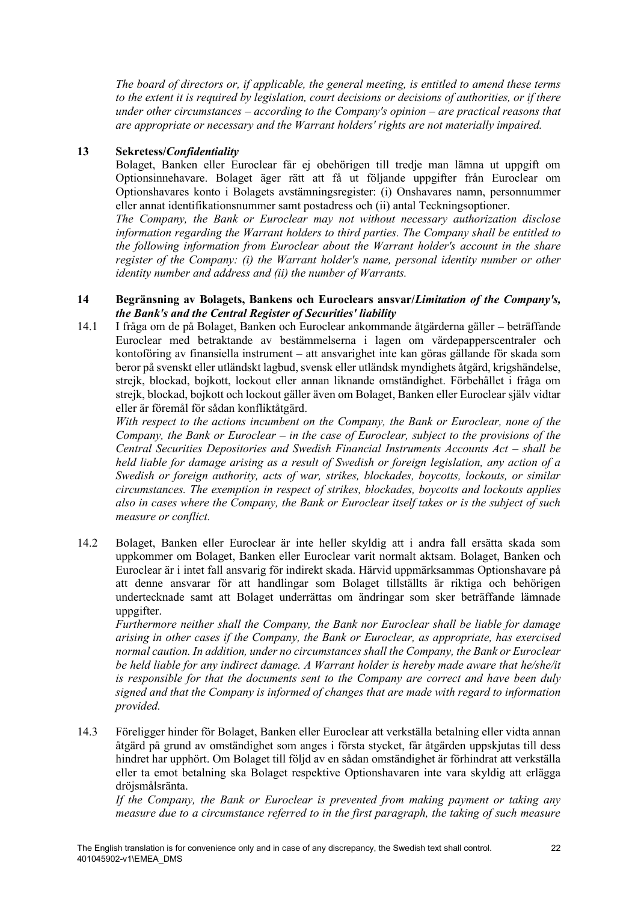*The board of directors or, if applicable, the general meeting, is entitled to amend these terms to the extent it is required by legislation, court decisions or decisions of authorities, or if there under other circumstances – according to the Company's opinion – are practical reasons that are appropriate or necessary and the Warrant holders' rights are not materially impaired.*

# **13 Sekretess/***Confidentiality*

Bolaget, Banken eller Euroclear får ej obehörigen till tredje man lämna ut uppgift om Optionsinnehavare. Bolaget äger rätt att få ut följande uppgifter från Euroclear om Optionshavares konto i Bolagets avstämningsregister: (i) Onshavares namn, personnummer eller annat identifikationsnummer samt postadress och (ii) antal Teckningsoptioner.

*The Company, the Bank or Euroclear may not without necessary authorization disclose information regarding the Warrant holders to third parties. The Company shall be entitled to the following information from Euroclear about the Warrant holder's account in the share register of the Company: (i) the Warrant holder's name, personal identity number or other identity number and address and (ii) the number of Warrants.*

# **14 Begränsning av Bolagets, Bankens och Euroclears ansvar/***Limitation of the Company's, the Bank's and the Central Register of Securities' liability*

14.1 I fråga om de på Bolaget, Banken och Euroclear ankommande åtgärderna gäller – beträffande Euroclear med betraktande av bestämmelserna i lagen om värdepapperscentraler och kontoföring av finansiella instrument – att ansvarighet inte kan göras gällande för skada som beror på svenskt eller utländskt lagbud, svensk eller utländsk myndighets åtgärd, krigshändelse, strejk, blockad, bojkott, lockout eller annan liknande omständighet. Förbehållet i fråga om strejk, blockad, bojkott och lockout gäller även om Bolaget, Banken eller Euroclear själv vidtar eller är föremål för sådan konfliktåtgärd.

*With respect to the actions incumbent on the Company, the Bank or Euroclear, none of the Company, the Bank or Euroclear – in the case of Euroclear, subject to the provisions of the Central Securities Depositories and Swedish Financial Instruments Accounts Act – shall be held liable for damage arising as a result of Swedish or foreign legislation, any action of a Swedish or foreign authority, acts of war, strikes, blockades, boycotts, lockouts, or similar circumstances. The exemption in respect of strikes, blockades, boycotts and lockouts applies also in cases where the Company, the Bank or Euroclear itself takes or is the subject of such measure or conflict.*

14.2 Bolaget, Banken eller Euroclear är inte heller skyldig att i andra fall ersätta skada som uppkommer om Bolaget, Banken eller Euroclear varit normalt aktsam. Bolaget, Banken och Euroclear är i intet fall ansvarig för indirekt skada. Härvid uppmärksammas Optionshavare på att denne ansvarar för att handlingar som Bolaget tillställts är riktiga och behörigen undertecknade samt att Bolaget underrättas om ändringar som sker beträffande lämnade uppgifter.

*Furthermore neither shall the Company, the Bank nor Euroclear shall be liable for damage arising in other cases if the Company, the Bank or Euroclear, as appropriate, has exercised normal caution. In addition, under no circumstances shall the Company, the Bank or Euroclear be held liable for any indirect damage. A Warrant holder is hereby made aware that he/she/it is responsible for that the documents sent to the Company are correct and have been duly signed and that the Company is informed of changes that are made with regard to information provided.*

14.3 Föreligger hinder för Bolaget, Banken eller Euroclear att verkställa betalning eller vidta annan åtgärd på grund av omständighet som anges i första stycket, får åtgärden uppskjutas till dess hindret har upphört. Om Bolaget till följd av en sådan omständighet är förhindrat att verkställa eller ta emot betalning ska Bolaget respektive Optionshavaren inte vara skyldig att erlägga dröjsmålsränta.

*If the Company, the Bank or Euroclear is prevented from making payment or taking any measure due to a circumstance referred to in the first paragraph, the taking of such measure*